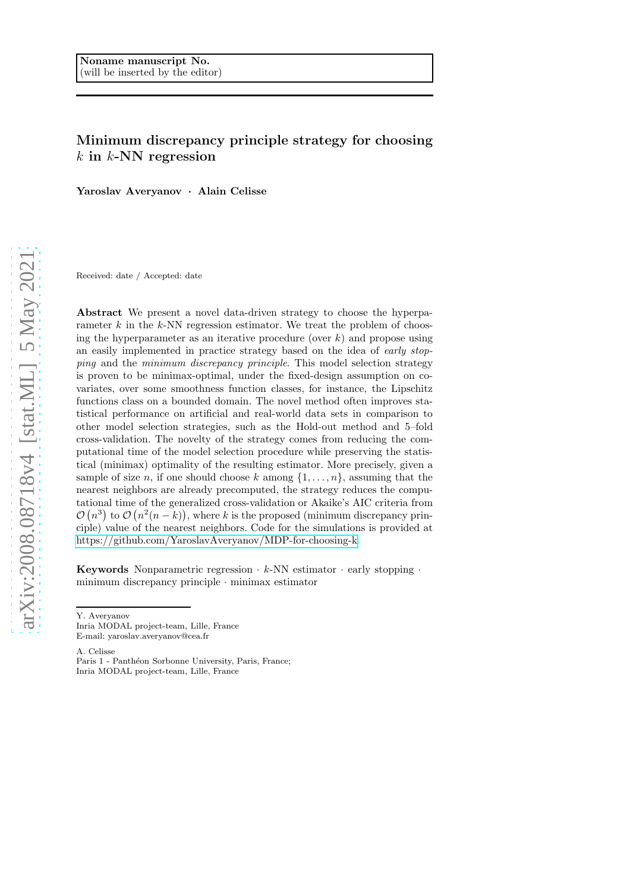# Minimum discrepancy principle strategy for choosing  $k$  in  $k$ -NN regression

Yaroslav Averyanov · Alain Celisse

Received: date / Accepted: date

Abstract We present a novel data-driven strategy to choose the hyperparameter  $k$  in the  $k$ -NN regression estimator. We treat the problem of choosing the hyperparameter as an iterative procedure (over  $k$ ) and propose using an easily implemented in practice strategy based on the idea of *early stopping* and the *minimum discrepancy principle*. This model selection strategy is proven to be minimax-optimal, under the fixed-design assumption on covariates, over some smoothness function classes, for instance, the Lipschitz functions class on a bounded domain. The novel method often improves statistical performance on artificial and real-world data sets in comparison to other model selection strategies, such as the Hold-out method and 5–fold cross-validation. The novelty of the strategy comes from reducing the computational time of the model selection procedure while preserving the statistical (minimax) optimality of the resulting estimator. More precisely, given a sample of size n, if one should choose k among  $\{1,\ldots,n\}$ , assuming that the nearest neighbors are already precomputed, the strategy reduces the computational time of the generalized cross-validation or Akaike's AIC criteria from  $\mathcal{O}(n^3)$  to  $\mathcal{O}(n^2(n-k))$ , where k is the proposed (minimum discrepancy principle) value of the nearest neighbors. Code for the simulations is provided at [https://github.com/YaroslavAveryanov/MDP-for-choosing-k.](https://github.com/YaroslavAveryanov/Minimum-discrepancy-principle-for-choosing-k)

**Keywords** Nonparametric regression  $\cdot$  k-NN estimator  $\cdot$  early stopping  $\cdot$ minimum discrepancy principle · minimax estimator

A. Celisse

Paris 1 - Panthéon Sorbonne University, Paris, France; Inria MODAL project-team, Lille, France

Y. Averyanov

Inria MODAL project-team, Lille, France E-mail: yaroslav.averyanov@cea.fr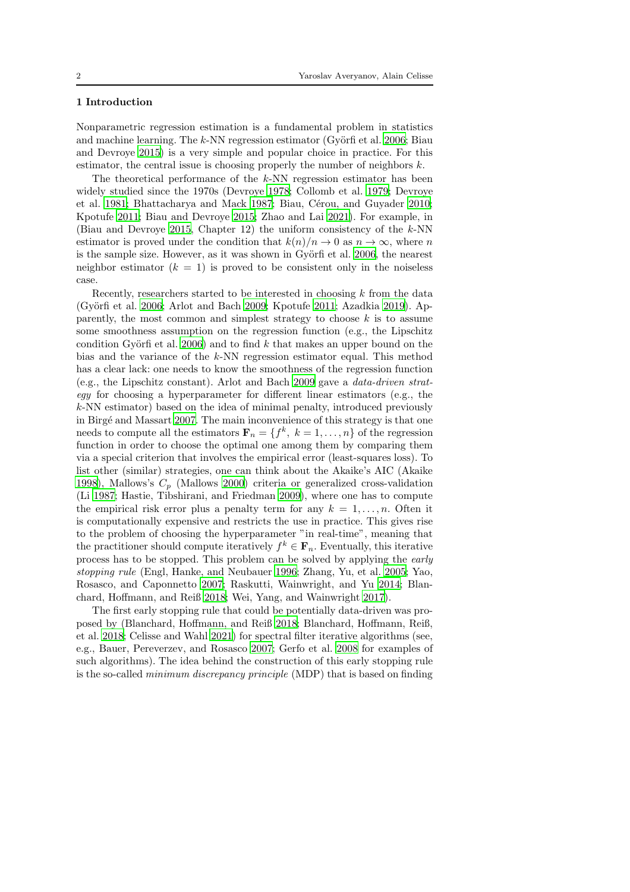# 1 Introduction

Nonparametric regression estimation is a fundamental problem in statistics and machine learning. The  $k$ -NN regression estimator (Györfi et al. [2006;](#page-23-0) Biau and Devroye [2015](#page-22-0)) is a very simple and popular choice in practice. For this estimator, the central issue is choosing properly the number of neighbors  $k$ .

The theoretical performance of the  $k$ -NN regression estimator has been widely studied since the 1970s (Devroye [1978](#page-23-1); Collomb et al. [1979;](#page-22-1) Devroye et al. [1981](#page-23-2); Bhattacharya and Mack [1987](#page-22-2); Biau, Cérou, and Guyader [2010;](#page-21-0) Kpotufe [2011](#page-23-3); Biau and Devroye [2015;](#page-22-0) Zhao and Lai [2021\)](#page-24-0). For example, in (Biau and Devroye [2015](#page-22-0), Chapter 12) the uniform consistency of the  $k$ -NN estimator is proved under the condition that  $k(n)/n \to 0$  as  $n \to \infty$ , where n is the sample size. However, as it was shown in Györfi et al. [2006,](#page-23-0) the nearest neighbor estimator  $(k = 1)$  is proved to be consistent only in the noiseless case.

Recently, researchers started to be interested in choosing  $k$  from the data (Györfi et al. [2006](#page-23-0); Arlot and Bach [2009](#page-20-0); Kpotufe [2011;](#page-23-3) Azadkia [2019](#page-21-1)). Apparently, the most common and simplest strategy to choose  $k$  is to assume some smoothness assumption on the regression function (e.g., the Lipschitz condition Györfi et al. [2006](#page-23-0)) and to find  $k$  that makes an upper bound on the bias and the variance of the k-NN regression estimator equal. This method has a clear lack: one needs to know the smoothness of the regression function (e.g., the Lipschitz constant). Arlot and Bach [2009](#page-19-0) gave a *data-driven strategy* for choosing a hyperparameter for different linear estimators (e.g., the  $k$ -NN estimator) based on the idea of minimal penalty, introduced previously in Birgé and Massart [2007.](#page-22-3) The main inconvenience of this strategy is that one needs to compute all the estimators  $\mathbf{F}_n = \{f^k, k = 1, \ldots, n\}$  of the regression function in order to choose the optimal one among them by comparing them via a special criterion that involves the empirical error (least-squares loss). To list other (similar) strategies, one can think about the Akaike's AIC (Akaike [1998\)](#page-21-2), Mallows's  $C_p$  (Mallows [2000\)](#page-24-1) criteria or generalized cross-validation (Li [1987;](#page-23-4) Hastie, Tibshirani, and Friedman [2009\)](#page-23-5), where one has to compute the empirical risk error plus a penalty term for any  $k = 1, \ldots, n$ . Often it is computationally expensive and restricts the use in practice. This gives rise to the problem of choosing the hyperparameter "in real-time", meaning that the practitioner should compute iteratively  $f^k \in \mathbf{F}_n$ . Eventually, this iterative process has to be stopped. This problem can be solved by applying the *early stopping rule* (Engl, Hanke, and Neubauer [1996](#page-23-6); Zhang, Yu, et al. [2005;](#page-25-0) Yao, Rosasco, and Caponnetto [2007](#page-24-2); Raskutti, Wainwright, and Yu [2014;](#page-24-3) Blanchard, Hoffmann, and Reiß [2018;](#page-22-4) Wei, Yang, and Wainwright [2017\)](#page-24-4).

The first early stopping rule that could be potentially data-driven was proposed by (Blanchard, Hoffmann, and Reiß [2018;](#page-22-4) Blanchard, Hoffmann, Reiß, et al. [2018;](#page-22-5) Celisse and Wahl [2021](#page-22-6)) for spectral filter iterative algorithms (see, e.g., Bauer, Pereverzev, and Rosasco [2007](#page-22-7); Gerfo et al. [2008](#page-23-7) for examples of such algorithms). The idea behind the construction of this early stopping rule is the so-called *minimum discrepancy principle* (MDP) that is based on finding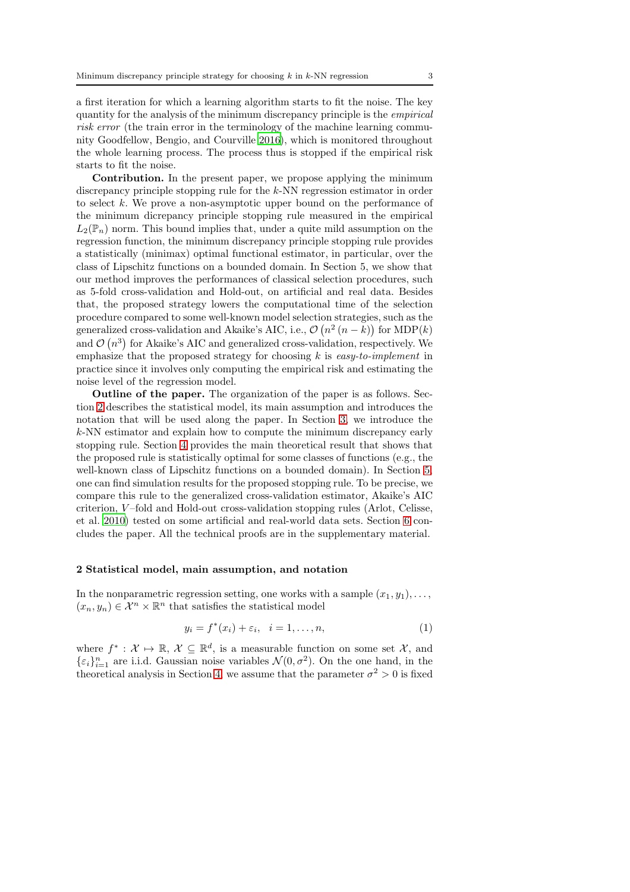a first iteration for which a learning algorithm starts to fit the noise. The key quantity for the analysis of the minimum discrepancy principle is the *empirical risk error* (the train error in the terminology of the machine learning community Goodfellow, Bengio, and Courville [2016\)](#page-23-8), which is monitored throughout the whole learning process. The process thus is stopped if the empirical risk starts to fit the noise.

Contribution. In the present paper, we propose applying the minimum discrepancy principle stopping rule for the k-NN regression estimator in order to select  $k$ . We prove a non-asymptotic upper bound on the performance of the minimum dicrepancy principle stopping rule measured in the empirical  $L_2(\mathbb{P}_n)$  norm. This bound implies that, under a quite mild assumption on the regression function, the minimum discrepancy principle stopping rule provides a statistically (minimax) optimal functional estimator, in particular, over the class of Lipschitz functions on a bounded domain. In Section 5, we show that our method improves the performances of classical selection procedures, such as 5-fold cross-validation and Hold-out, on artificial and real data. Besides that, the proposed strategy lowers the computational time of the selection procedure compared to some well-known model selection strategies, such as the generalized cross-validation and Akaike's AIC, i.e.,  $\mathcal{O}(n^2 (n - k))$  for MDP(k) and  $\mathcal{O}(n^3)$  for Akaike's AIC and generalized cross-validation, respectively. We emphasize that the proposed strategy for choosing k is *easy-to-implement* in practice since it involves only computing the empirical risk and estimating the noise level of the regression model.

Outline of the paper. The organization of the paper is as follows. Section [2](#page-2-0) describes the statistical model, its main assumption and introduces the notation that will be used along the paper. In Section [3,](#page-4-0) we introduce the k-NN estimator and explain how to compute the minimum discrepancy early stopping rule. Section [4](#page-9-0) provides the main theoretical result that shows that the proposed rule is statistically optimal for some classes of functions (e.g., the well-known class of Lipschitz functions on a bounded domain). In Section [5,](#page-12-0) one can find simulation results for the proposed stopping rule. To be precise, we compare this rule to the generalized cross-validation estimator, Akaike's AIC criterion, V –fold and Hold-out cross-validation stopping rules (Arlot, Celisse, et al. [2010\)](#page-20-1) tested on some artificial and real-world data sets. Section [6](#page-18-0) concludes the paper. All the technical proofs are in the supplementary material.

### <span id="page-2-0"></span>2 Statistical model, main assumption, and notation

In the nonparametric regression setting, one works with a sample  $(x_1, y_1), \ldots$ ,  $(x_n, y_n) \in \mathcal{X}^n \times \mathbb{R}^n$  that satisfies the statistical model

<span id="page-2-1"></span>
$$
y_i = f^*(x_i) + \varepsilon_i, \quad i = 1, \dots, n,
$$
\n<sup>(1)</sup>

where  $f^* : \mathcal{X} \mapsto \mathbb{R}, \mathcal{X} \subseteq \mathbb{R}^d$ , is a measurable function on some set  $\mathcal{X}$ , and  $\{\varepsilon_i\}_{i=1}^n$  are i.i.d. Gaussian noise variables  $\mathcal{N}(0, \sigma^2)$ . On the one hand, in the theoretical analysis in Section [4,](#page-9-0) we assume that the parameter  $\sigma^2 > 0$  is fixed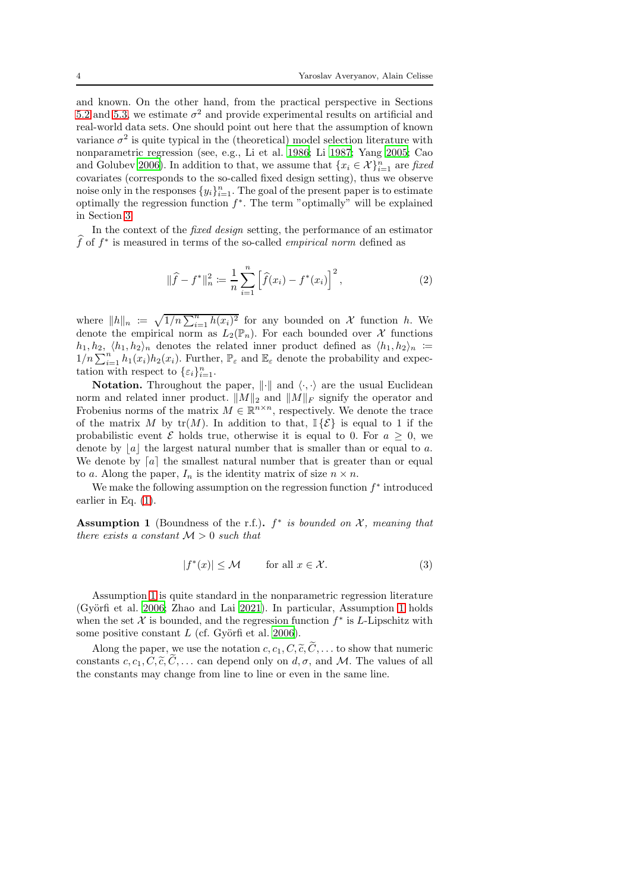and known. On the other hand, from the practical perspective in Sections [5.2](#page-14-0) and [5.3,](#page-16-0) we estimate  $\sigma^2$  and provide experimental results on artificial and real-world data sets. One should point out here that the assumption of known variance  $\sigma^2$  is quite typical in the (theoretical) model selection literature with nonparametric regression (see, e.g., Li et al. [1986;](#page-23-9) Li [1987;](#page-23-4) Yang [2005;](#page-24-5) Cao and Golubev [2006\)](#page-22-8). In addition to that, we assume that  ${x_i \in \mathcal{X}}_{i=1}^n$  are *fixed* covariates (corresponds to the so-called fixed design setting), thus we observe noise only in the responses  $\{y_i\}_{i=1}^n$ . The goal of the present paper is to estimate optimally the regression function  $f^*$ . The term "optimally" will be explained in Section [3.](#page-4-0)

In the context of the *fixed design* setting, the performance of an estimator  $\widehat{f}$  of  $f^*$  is measured in terms of the so-called *empirical norm* defined as

$$
\|\widehat{f} - f^*\|_n^2 := \frac{1}{n} \sum_{i=1}^n \left[\widehat{f}(x_i) - f^*(x_i)\right]^2,\tag{2}
$$

where  $||h||_n := \sqrt{1/n \sum_{i=1}^n h(x_i)^2}$  for any bounded on X function h. We denote the empirical norm as  $L_2(\mathbb{P}_n)$ . For each bounded over X functions  $h_1, h_2, \langle h_1, h_2 \rangle_n$  denotes the related inner product defined as  $\langle h_1, h_2 \rangle_n$  :=  $1/n \sum_{i=1}^n h_1(x_i)h_2(x_i)$ . Further,  $\mathbb{P}_{\varepsilon}$  and  $\mathbb{E}_{\varepsilon}$  denote the probability and expectation with respect to  $\{\varepsilon_i\}_{i=1}^n$ .

**Notation.** Throughout the paper,  $\|\cdot\|$  and  $\langle \cdot, \cdot \rangle$  are the usual Euclidean norm and related inner product.  $||M||_2$  and  $||M||_F$  signify the operator and Frobenius norms of the matrix  $M \in \mathbb{R}^{n \times n}$ , respectively. We denote the trace of the matrix M by  $tr(M)$ . In addition to that,  $\mathbb{I}\{\mathcal{E}\}\)$  is equal to 1 if the probabilistic event  $\mathcal E$  holds true, otherwise it is equal to 0. For  $a \geq 0$ , we denote by  $|a|$  the largest natural number that is smaller than or equal to a. We denote by  $[a]$  the smallest natural number that is greater than or equal to a. Along the paper,  $I_n$  is the identity matrix of size  $n \times n$ .

We make the following assumption on the regression function  $f^*$  introduced earlier in Eq. [\(1\)](#page-2-1).

<span id="page-3-0"></span>Assumption 1 (Boundness of the r.f.). f ∗ *is bounded on* X*, meaning that there exists a constant*  $M > 0$  *such that* 

$$
|f^*(x)| \le \mathcal{M} \qquad \text{for all } x \in \mathcal{X}.
$$
 (3)

Assumption [1](#page-3-0) is quite standard in the nonparametric regression literature (Györfi et al. [2006](#page-23-0); Zhao and Lai [2021\)](#page-24-0). In particular, Assumption [1](#page-3-0) holds when the set  $\mathcal X$  is bounded, and the regression function  $f^*$  is L-Lipschitz with some positive constant  $L$  (cf. Györfi et al. [2006\)](#page-23-0).

Along the paper, we use the notation  $c, c_1, C, \tilde{c}, \tilde{C}, \ldots$  to show that numeric constants c,  $c_1, C, \tilde{c}, \tilde{C}, \ldots$  can depend only on  $d, \sigma$ , and M. The values of all the constants may change from line to line or even in the same line.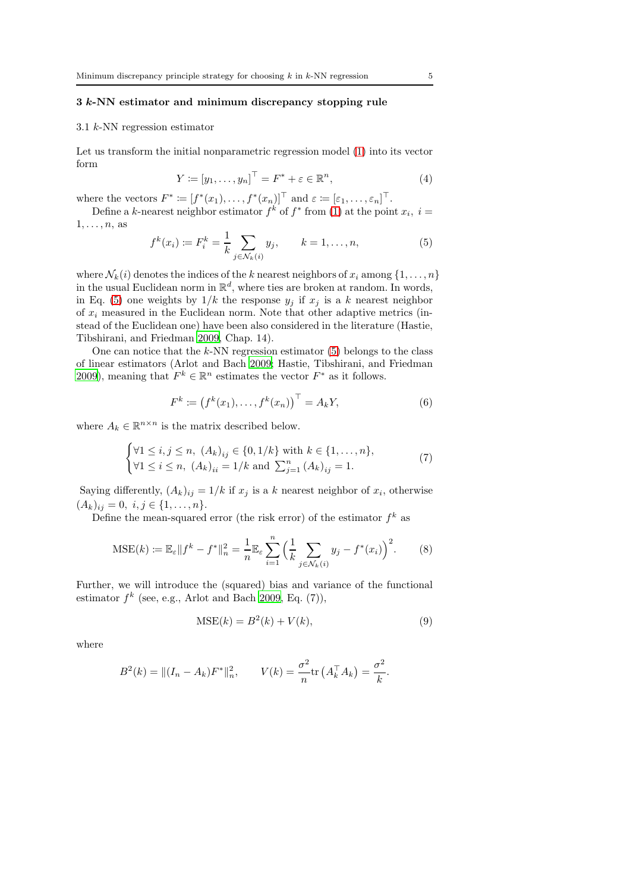# <span id="page-4-0"></span>3 k-NN estimator and minimum discrepancy stopping rule

#### 3.1 k-NN regression estimator

 $1, \ldots, n$ , as

Let us transform the initial nonparametric regression model [\(1\)](#page-2-1) into its vector form

$$
Y \coloneqq [y_1, \dots, y_n]^\top = F^* + \varepsilon \in \mathbb{R}^n,\tag{4}
$$

where the vectors  $F^* := [f^*(x_1), \ldots, f^*(x_n)]^\top$  and  $\varepsilon := [\varepsilon_1, \ldots, \varepsilon_n]^\top$ . Define a k-nearest neighbor estimator  $f^k$  of  $f^*$  from [\(1\)](#page-2-1) at the point  $x_i$ ,  $i =$ 

<span id="page-4-1"></span>
$$
f^{k}(x_{i}) \coloneqq F_{i}^{k} = \frac{1}{k} \sum_{j \in \mathcal{N}_{k}(i)} y_{j}, \qquad k = 1, \dots, n,
$$
 (5)

where  $\mathcal{N}_k(i)$  denotes the indices of the k nearest neighbors of  $x_i$  among  $\{1, \ldots, n\}$ in the usual Euclidean norm in  $\mathbb{R}^d$ , where ties are broken at random. In words, in Eq. [\(5\)](#page-4-1) one weights by  $1/k$  the response  $y_i$  if  $x_i$  is a k nearest neighbor of  $x_i$  measured in the Euclidean norm. Note that other adaptive metrics (instead of the Euclidean one) have been also considered in the literature (Hastie, Tibshirani, and Friedman [2009,](#page-23-5) Chap. 14).

One can notice that the  $k$ -NN regression estimator  $(5)$  belongs to the class of linear estimators (Arlot and Bach [2009](#page-19-0); Hastie, Tibshirani, and Friedman [2009\)](#page-23-5), meaning that  $F^k \in \mathbb{R}^n$  estimates the vector  $F^*$  as it follows.

<span id="page-4-3"></span>
$$
F^{k} := (f^{k}(x_{1}), \ldots, f^{k}(x_{n}))^{\top} = A_{k}Y,
$$
\n(6)

where  $A_k \in \mathbb{R}^{n \times n}$  is the matrix described below.

<span id="page-4-4"></span>
$$
\begin{cases} \forall 1 \le i, j \le n, \ (A_k)_{ij} \in \{0, 1/k\} \text{ with } k \in \{1, \dots, n\}, \\ \forall 1 \le i \le n, \ (A_k)_{ii} = 1/k \text{ and } \sum_{j=1}^n (A_k)_{ij} = 1. \end{cases} \tag{7}
$$

Saying differently,  $(A_k)_{ij} = 1/k$  if  $x_j$  is a k nearest neighbor of  $x_i$ , otherwise  $(A_k)_{ij} = 0, i, j \in \{1, \ldots, n\}.$ 

Define the mean-squared error (the risk error) of the estimator  $f^k$  as

<span id="page-4-2"></span>
$$
\text{MSE}(k) := \mathbb{E}_{\varepsilon} \| f^k - f^* \|_n^2 = \frac{1}{n} \mathbb{E}_{\varepsilon} \sum_{i=1}^n \Big( \frac{1}{k} \sum_{j \in \mathcal{N}_k(i)} y_j - f^*(x_i) \Big)^2. \tag{8}
$$

Further, we will introduce the (squared) bias and variance of the functional estimator  $f^k$  (see, e.g., Arlot and Bach [2009,](#page-19-0) Eq. (7)),

$$
MSE(k) = B2(k) + V(k),
$$
\n(9)

where

$$
B^{2}(k) = ||(I_{n} - A_{k})F^{*}||_{n}^{2}, \qquad V(k) = \frac{\sigma^{2}}{n} \text{tr}\left(A_{k}^{\top} A_{k}\right) = \frac{\sigma^{2}}{k}.
$$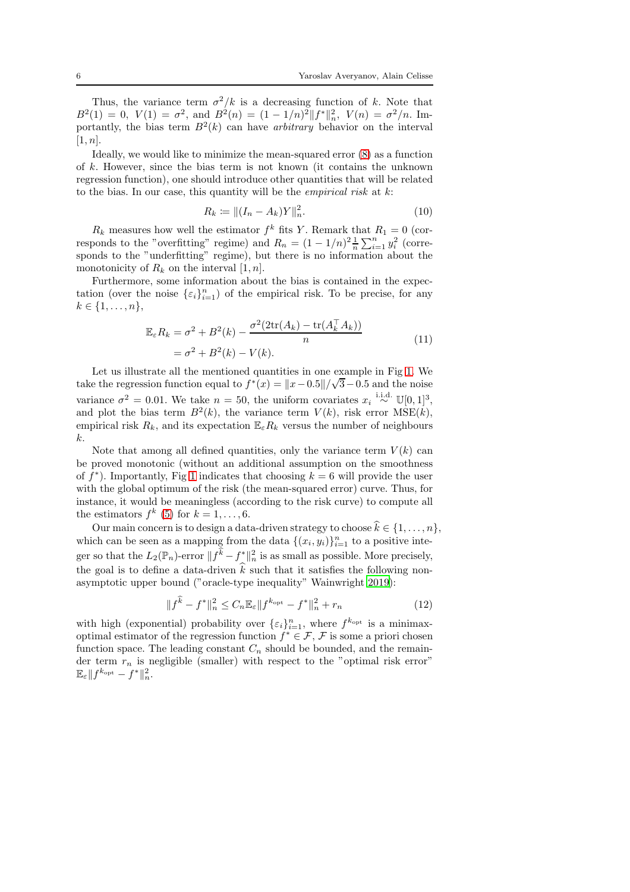Thus, the variance term  $\sigma^2/k$  is a decreasing function of k. Note that  $B^2(1) = 0$ ,  $V(1) = \sigma^2$ , and  $B^2(n) = (1 - 1/n)^2 ||f^*||_n^2$ ,  $V(n) = \sigma^2/n$ . Importantly, the bias term  $B^2(k)$  can have *arbitrary* behavior on the interval  $[1, n]$ .

Ideally, we would like to minimize the mean-squared error [\(8\)](#page-4-2) as a function of k. However, since the bias term is not known (it contains the unknown regression function), one should introduce other quantities that will be related to the bias. In our case, this quantity will be the *empirical risk* at k:

<span id="page-5-1"></span><span id="page-5-0"></span>
$$
R_k := || (I_n - A_k)Y ||_n^2.
$$
 (10)

 $R_k$  measures how well the estimator  $f^k$  fits Y. Remark that  $R_1 = 0$  (corresponds to the "overfitting" regime) and  $R_n = (1 - 1/n)^2 \frac{1}{n} \sum_{i=1}^n y_i^2$  (corresponds to the "underfitting" regime), but there is no information about the monotonicity of  $R_k$  on the interval  $[1, n]$ .

Furthermore, some information about the bias is contained in the expectation (over the noise  $\{\varepsilon_i\}_{i=1}^n$ ) of the empirical risk. To be precise, for any  $k \in \{1, \ldots, n\},\$ 

$$
\mathbb{E}_{\varepsilon} R_k = \sigma^2 + B^2(k) - \frac{\sigma^2 (2 \text{tr}(A_k) - \text{tr}(A_k^\top A_k))}{n}
$$
  
=  $\sigma^2 + B^2(k) - V(k)$ . (11)

Let us illustrate all the mentioned quantities in one example in Fig [1.](#page-6-0) We take the regression function equal to  $f^*(x) = ||x-0.5||/\sqrt{3}-0.5$  and the noise variance  $\sigma^2 = 0.01$ . We take  $n = 50$ , the uniform covariates  $x_i \stackrel{\text{i.i.d.}}{\sim} \mathbb{U}[0,1]^3$ , and plot the bias term  $B^2(k)$ , the variance term  $V(k)$ , risk error  $MSE(k)$ , empirical risk  $R_k$ , and its expectation  $\mathbb{E}_{\varepsilon}R_k$  versus the number of neighbours k.

Note that among all defined quantities, only the variance term  $V(k)$  can be proved monotonic (without an additional assumption on the smoothness of  $f^*$ ). Importantly, Fig [1](#page-6-0) indicates that choosing  $k = 6$  will provide the user with the global optimum of the risk (the mean-squared error) curve. Thus, for instance, it would be meaningless (according to the risk curve) to compute all the estimators  $f^k$  [\(5\)](#page-4-1) for  $k = 1, ..., 6$ .

Our main concern is to design a data-driven strategy to choose  $\hat{k} \in \{1, \ldots, n\}$ , which can be seen as a mapping from the data  $\{(x_i, y_i)\}_{i=1}^n$  to a positive integer so that the  $L_2(\mathbb{P}_n)$ -error  $||\tilde{f} \cdot f^*||_n^2$  is as small as possible. More precisely, the goal is to define a data-driven  $\hat{k}$  such that it satisfies the following nonasymptotic upper bound ("oracle-type inequality" Wainwright [2019\)](#page-24-6):

<span id="page-5-2"></span>
$$
||f^{\hat{k}} - f^*||_n^2 \le C_n \mathbb{E}_{\varepsilon} ||f^{k_{\text{opt}}} - f^*||_n^2 + r_n
$$
\n(12)

with high (exponential) probability over  $\{\varepsilon_i\}_{i=1}^n$ , where  $f^{k_{\text{opt}}}$  is a minimaxoptimal estimator of the regression function  $f^* \in \mathcal{F}, \mathcal{F}$  is some a priori chosen function space. The leading constant  $C_n$  should be bounded, and the remainder term  $r_n$  is negligible (smaller) with respect to the "optimal risk error"  $\mathbb{E}_{\varepsilon} \| f^{k_{\text{opt}}} - f^* \|_n^2.$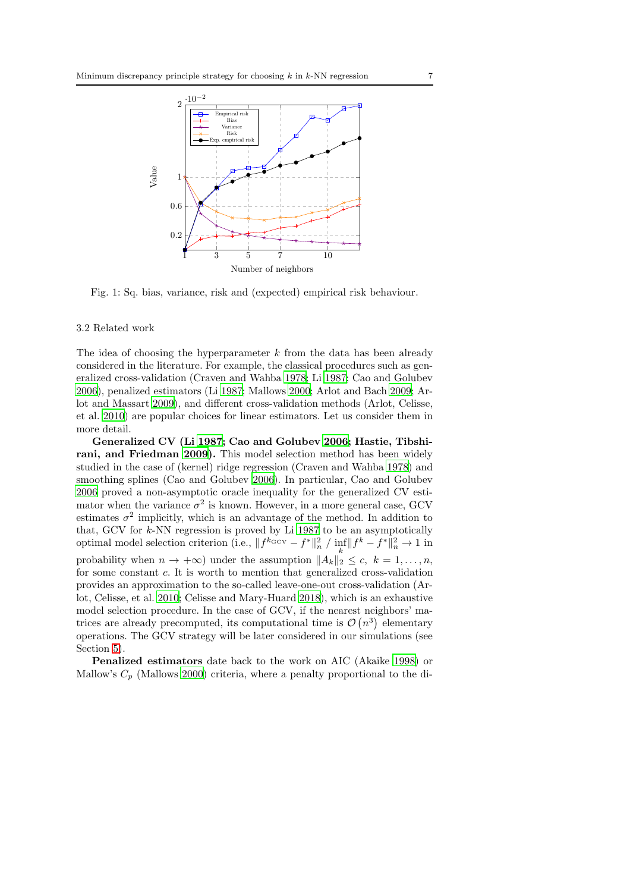<span id="page-6-0"></span>

Fig. 1: Sq. bias, variance, risk and (expected) empirical risk behaviour.

#### 3.2 Related work

The idea of choosing the hyperparameter  $k$  from the data has been already considered in the literature. For example, the classical procedures such as generalized cross-validation (Craven and Wahba [1978;](#page-23-10) Li [1987;](#page-23-4) Cao and Golubev [2006\)](#page-22-8), penalized estimators (Li [1987;](#page-23-4) Mallows [2000;](#page-24-1) Arlot and Bach [2009;](#page-20-0) Arlot and Massart [2009](#page-21-3)), and different cross-validation methods (Arlot, Celisse, et al. [2010\)](#page-20-1) are popular choices for linear estimators. Let us consider them in more detail.

Generalized CV (Li [1987](#page-23-4); Cao and Golubev [2006;](#page-22-8) Hastie, Tibshirani, and Friedman [2009\)](#page-23-5). This model selection method has been widely studied in the case of (kernel) ridge regression (Craven and Wahba [1978\)](#page-23-10) and smoothing splines (Cao and Golubev [2006\)](#page-22-8). In particular, Cao and Golubev [2006](#page-22-8) proved a non-asymptotic oracle inequality for the generalized CV estimator when the variance  $\sigma^2$  is known. However, in a more general case, GCV estimates  $\sigma^2$  implicitly, which is an advantage of the method. In addition to that, GCV for  $k$ -NN regression is proved by Li [1987](#page-23-4) to be an asymptotically optimal model selection criterion (i.e.,  $||f^{k_{\text{GCV}}} - f^*||_n^2 / \inf_k ||f^k - f^*||_n^2 \to 1$  in probability when  $n \to +\infty$ ) under the assumption  $||A_k||_2 \leq c, k = 1, ..., n$ , for some constant c. It is worth to mention that generalized cross-validation provides an approximation to the so-called leave-one-out cross-validation (Arlot, Celisse, et al. [2010;](#page-20-1) Celisse and Mary-Huard [2018\)](#page-22-9), which is an exhaustive model selection procedure. In the case of GCV, if the nearest neighbors' matrices are already precomputed, its computational time is  $\mathcal{O}(n^3)$  elementary operations. The GCV strategy will be later considered in our simulations (see Section [5\)](#page-12-0).

Penalized estimators date back to the work on AIC (Akaike [1998\)](#page-21-2) or Mallow's  $C_p$  (Mallows [2000\)](#page-24-1) criteria, where a penalty proportional to the di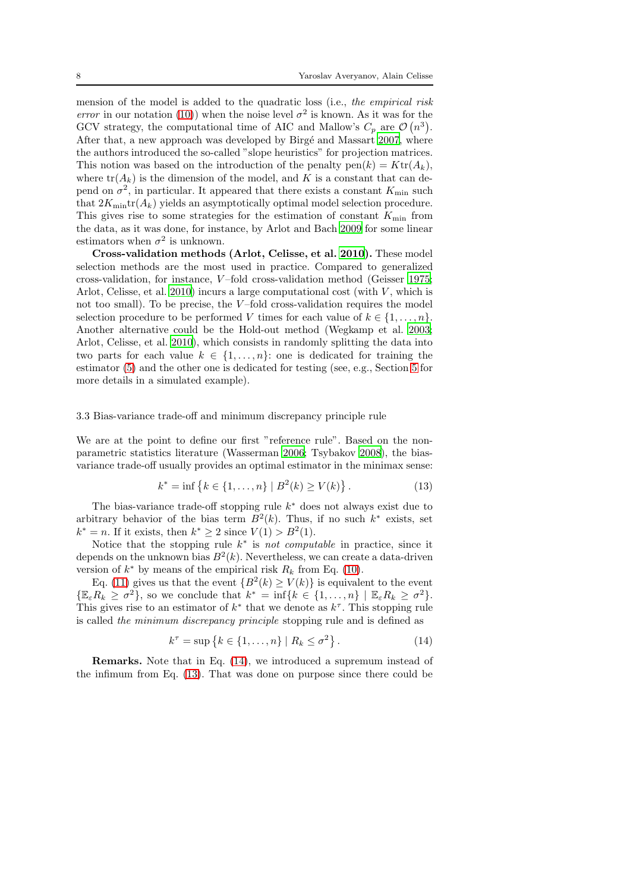mension of the model is added to the quadratic loss (i.e., *the empirical risk error* in our notation [\(10\)](#page-5-0)) when the noise level  $\sigma^2$  is known. As it was for the GCV strategy, the computational time of AIC and Mallow's  $C_p$  are  $\mathcal{O}(n^3)$ . After that, a new approach was developed by Birgé and Massart [2007](#page-22-3), where the authors introduced the so-called "slope heuristics" for projection matrices. This notion was based on the introduction of the penalty  $pen(k) = Ktr(A_k)$ , where  $tr(A_k)$  is the dimension of the model, and K is a constant that can depend on  $\sigma^2$ , in particular. It appeared that there exists a constant  $K_{\min}$  such that  $2K_{\text{min}}\text{tr}(A_k)$  yields an asymptotically optimal model selection procedure. This gives rise to some strategies for the estimation of constant  $K_{\min}$  from the data, as it was done, for instance, by Arlot and Bach [2009](#page-19-0) for some linear estimators when  $\sigma^2$  is unknown.

Cross-validation methods (Arlot, Celisse, et al. [2010](#page-20-1)). These model selection methods are the most used in practice. Compared to generalized cross-validation, for instance, V –fold cross-validation method (Geisser [1975;](#page-23-11) Arlot, Celisse, et al. [2010\)](#page-20-1) incurs a large computational cost (with  $V$ , which is not too small). To be precise, the  $V$ -fold cross-validation requires the model selection procedure to be performed V times for each value of  $k \in \{1, \ldots, n\}$ . Another alternative could be the Hold-out method (Wegkamp et al. [2003;](#page-24-7) Arlot, Celisse, et al. [2010\)](#page-20-1), which consists in randomly splitting the data into two parts for each value  $k \in \{1, ..., n\}$ : one is dedicated for training the estimator [\(5\)](#page-4-1) and the other one is dedicated for testing (see, e.g., Section [5](#page-12-0) for more details in a simulated example).

#### 3.3 Bias-variance trade-off and minimum discrepancy principle rule

We are at the point to define our first "reference rule". Based on the nonparametric statistics literature (Wasserman [2006](#page-24-8); Tsybakov [2008\)](#page-24-9), the biasvariance trade-off usually provides an optimal estimator in the minimax sense:

<span id="page-7-1"></span>
$$
k^* = \inf \{ k \in \{ 1, \dots, n \} \mid B^2(k) \ge V(k) \}.
$$
 (13)

The bias-variance trade-off stopping rule  $k^*$  does not always exist due to arbitrary behavior of the bias term  $B^2(k)$ . Thus, if no such  $k^*$  exists, set  $k^* = n$ . If it exists, then  $k^* \ge 2$  since  $V(1) > B^2(1)$ .

Notice that the stopping rule  $k^*$  is *not computable* in practice, since it depends on the unknown bias  $B^2(k)$ . Nevertheless, we can create a data-driven version of  $k^*$  by means of the empirical risk  $R_k$  from Eq. [\(10\)](#page-5-0).

Eq. [\(11\)](#page-5-1) gives us that the event  ${B^2(k) \ge V(k)}$  is equivalent to the event  $\{\mathbb{E}_{\varepsilon} R_k \geq \sigma^2\}$ , so we conclude that  $k^* = \inf\{k \in \{1, ..., n\} \mid \mathbb{E}_{\varepsilon} R_k \geq \sigma^2\}.$ This gives rise to an estimator of  $k^*$  that we denote as  $k^{\tau}$ . This stopping rule is called *the minimum discrepancy principle* stopping rule and is defined as

<span id="page-7-0"></span>
$$
k^{\tau} = \sup \left\{ k \in \{1, \ldots, n\} \mid R_k \leq \sigma^2 \right\}.
$$
 (14)

Remarks. Note that in Eq. [\(14\)](#page-7-0), we introduced a supremum instead of the infimum from Eq. [\(13\)](#page-7-1). That was done on purpose since there could be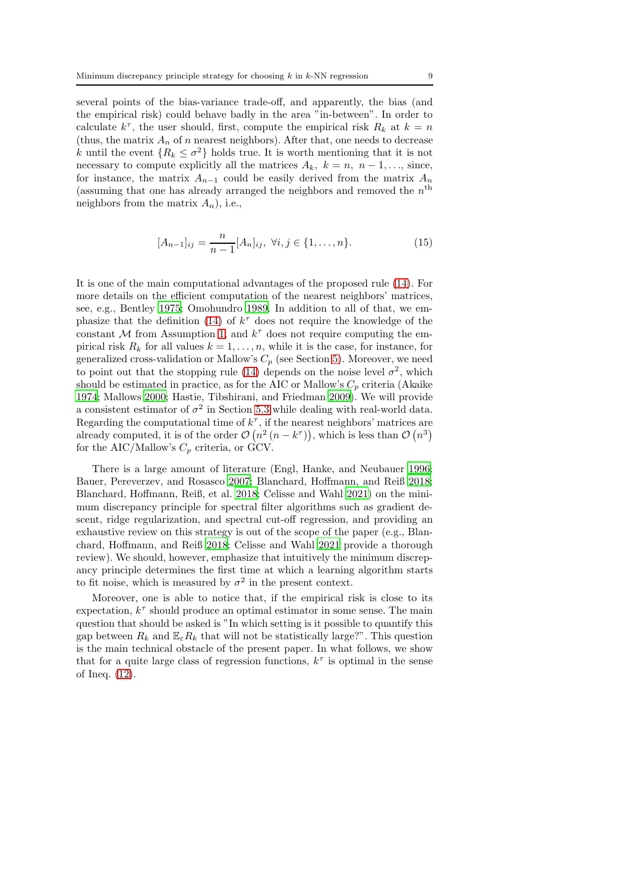several points of the bias-variance trade-off, and apparently, the bias (and the empirical risk) could behave badly in the area "in-between". In order to calculate  $k^{\tau}$ , the user should, first, compute the empirical risk  $R_k$  at  $k = n$ (thus, the matrix  $A_n$  of n nearest neighbors). After that, one needs to decrease k until the event  $\{R_k \leq \sigma^2\}$  holds true. It is worth mentioning that it is not necessary to compute explicitly all the matrices  $A_k$ ,  $k = n, n - 1, \ldots$ , since, for instance, the matrix  $A_{n-1}$  could be easily derived from the matrix  $A_n$ (assuming that one has already arranged the neighbors and removed the  $n<sup>th</sup>$ neighbors from the matrix  $A_n$ ), i.e.,

<span id="page-8-0"></span>
$$
[A_{n-1}]_{ij} = \frac{n}{n-1} [A_n]_{ij}, \ \forall i, j \in \{1, \dots, n\}.
$$
 (15)

It is one of the main computational advantages of the proposed rule [\(14\)](#page-7-0). For more details on the efficient computation of the nearest neighbors' matrices, see, e.g., Bentley [1975;](#page-22-10) Omohundro [1989.](#page-24-10) In addition to all of that, we em-phasize that the definition [\(14\)](#page-7-0) of  $k^{\tau}$  does not require the knowledge of the constant  $M$  from Assumption [1,](#page-3-0) and  $k^{\tau}$  does not require computing the empirical risk  $R_k$  for all values  $k = 1, \ldots, n$ , while it is the case, for instance, for generalized cross-validation or Mallow's  $C_p$  (see Section [5\)](#page-12-0). Moreover, we need to point out that the stopping rule [\(14\)](#page-7-0) depends on the noise level  $\sigma^2$ , which should be estimated in practice, as for the AIC or Mallow's  $C_p$  criteria (Akaike [1974;](#page-20-2) Mallows [2000;](#page-24-1) Hastie, Tibshirani, and Friedman [2009\)](#page-23-5). We will provide a consistent estimator of  $\sigma^2$  in Section [5.3](#page-16-0) while dealing with real-world data. Regarding the computational time of  $k^{\tau}$ , if the nearest neighbors' matrices are already computed, it is of the order  $\mathcal{O}(n^2 (n - k^{\tau}))$ , which is less than  $\mathcal{O}(n^3)$ for the AIC/Mallow's  $C_p$  criteria, or GCV.

There is a large amount of literature (Engl, Hanke, and Neubauer [1996;](#page-23-6) Bauer, Pereverzev, and Rosasco [2007;](#page-22-7) Blanchard, Hoffmann, and Reiß [2018;](#page-22-4) Blanchard, Hoffmann, Reiß, et al. [2018;](#page-22-5) Celisse and Wahl [2021\)](#page-22-6) on the minimum discrepancy principle for spectral filter algorithms such as gradient descent, ridge regularization, and spectral cut-off regression, and providing an exhaustive review on this strategy is out of the scope of the paper (e.g., Blanchard, Hoffmann, and Reiß [2018;](#page-22-4) Celisse and Wahl [2021](#page-22-6) provide a thorough review). We should, however, emphasize that intuitively the minimum discrepancy principle determines the first time at which a learning algorithm starts to fit noise, which is measured by  $\sigma^2$  in the present context.

Moreover, one is able to notice that, if the empirical risk is close to its expectation,  $k^{\tau}$  should produce an optimal estimator in some sense. The main question that should be asked is "In which setting is it possible to quantify this gap between  $R_k$  and  $\mathbb{E}_{\varepsilon}R_k$  that will not be statistically large?". This question is the main technical obstacle of the present paper. In what follows, we show that for a quite large class of regression functions,  $k^{\tau}$  is optimal in the sense of Ineq. [\(12\)](#page-5-2).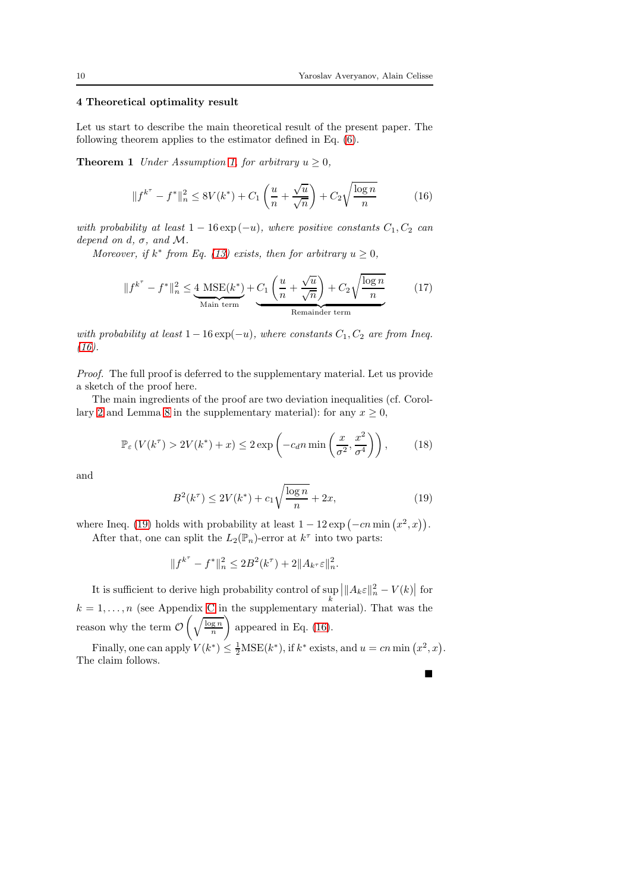# <span id="page-9-0"></span>4 Theoretical optimality result

Let us start to describe the main theoretical result of the present paper. The following theorem applies to the estimator defined in Eq. [\(6\)](#page-4-3).

**Theorem 1** *Under Assumption [1,](#page-3-0) for arbitrary*  $u \geq 0$ *,* 

<span id="page-9-3"></span><span id="page-9-1"></span>
$$
||f^{k^{\tau}} - f^*||_n^2 \le 8V(k^*) + C_1 \left(\frac{u}{n} + \frac{\sqrt{u}}{\sqrt{n}}\right) + C_2 \sqrt{\frac{\log n}{n}}
$$
(16)

*with probability at least*  $1 - 16 \exp(-u)$ *, where positive constants*  $C_1, C_2$  *can depend on d,*  $\sigma$ *, and*  $\mathcal{M}$ *.* 

*Moreover, if*  $k^*$  *from Eq.* [\(13\)](#page-7-1) *exists, then for arbitrary*  $u \ge 0$ *,* 

<span id="page-9-4"></span>
$$
||f^{k^{\tau}} - f^*||_n^2 \le \underbrace{4 \text{ MSE}(k^*)}_{\text{Main term}} + C_1 \left(\frac{u}{n} + \frac{\sqrt{u}}{\sqrt{n}}\right) + C_2 \sqrt{\frac{\log n}{n}} \tag{17}
$$

*with probability at least*  $1 - 16 \exp(-u)$ *, where constants*  $C_1$ ,  $C_2$  *are from Ineq. [\(16\)](#page-9-1).*

*Proof.* The full proof is deferred to the supplementary material. Let us provide a sketch of the proof here.

The main ingredients of the proof are two deviation inequalities (cf. Corol-lary [2](#page-32-0) and Lemma [8](#page-34-0) in the supplementary material): for any  $x \geq 0$ ,

$$
\mathbb{P}_{\varepsilon} \left( V(k^{\tau}) > 2V(k^*) + x \right) \le 2 \exp \left( -c_d n \min \left( \frac{x}{\sigma^2}, \frac{x^2}{\sigma^4} \right) \right), \tag{18}
$$

and

<span id="page-9-2"></span>
$$
B^{2}(k^{\tau}) \le 2V(k^{*}) + c_{1}\sqrt{\frac{\log n}{n}} + 2x,
$$
\n(19)

where Ineq. [\(19\)](#page-9-2) holds with probability at least  $1 - 12 \exp(-cn \min(x^2, x)).$ After that, one can split the  $L_2(\mathbb{P}_n)$ -error at  $k^{\tau}$  into two parts:

$$
||f^{k^{\tau}} - f^*||_n^2 \le 2B^2(k^{\tau}) + 2||A_{k^{\tau}}\varepsilon||_n^2.
$$

It is sufficient to derive high probability control of  $\sup_k$  $\left|\|A_k \varepsilon\|_n^2 - V(k)\right|$  for  $k = 1, \ldots, n$  (see Appendix [C](#page-29-0) in the supplementary material). That was the reason why the term  $\mathcal O$  $\left(\sqrt{\frac{\log n}{n}}\right)$ <sup>1</sup> appeared in Eq. [\(16\)](#page-9-1).

Finally, one can apply  $V(k^*) \leq \frac{1}{2}MSE(k^*)$ , if  $k^*$  exists, and  $u = cn \min(x^2, x)$ . The claim follows.  $\blacksquare$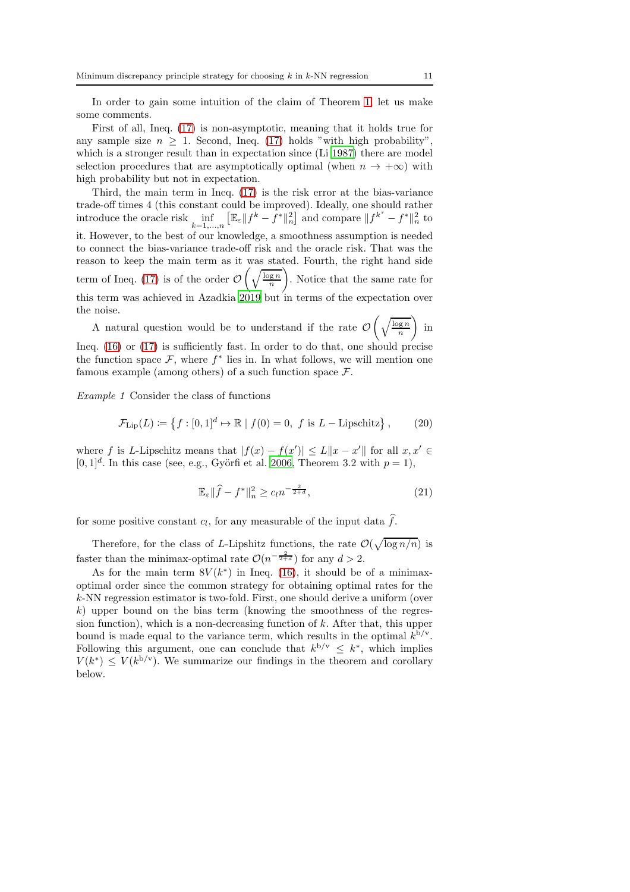In order to gain some intuition of the claim of Theorem [1,](#page-9-3) let us make some comments.

First of all, Ineq. [\(17\)](#page-9-4) is non-asymptotic, meaning that it holds true for any sample size  $n \geq 1$ . Second, Ineq. [\(17\)](#page-9-4) holds "with high probability", which is a stronger result than in expectation since (Li [1987\)](#page-23-4) there are model selection procedures that are asymptotically optimal (when  $n \to +\infty$ ) with high probability but not in expectation.

Third, the main term in Ineq. [\(17\)](#page-9-4) is the risk error at the bias-variance trade-off times 4 (this constant could be improved). Ideally, one should rather introduce the oracle risk  $\inf_{k=1,\dots,n}$  $\left[\mathbb{E}_{\varepsilon} \| f^k - \dot{f}^* \|_n^2 \right]$  and compare  $\| f^{k^{\tau}} - f^* \|_n^2$  to it. However, to the best of our knowledge, a smoothness assumption is needed to connect the bias-variance trade-off risk and the oracle risk. That was the reason to keep the main term as it was stated. Fourth, the right hand side term of Ineq.  $(17)$  is of the order  $\mathcal O$  $\left(\sqrt{\frac{\log n}{n}}\right)$  $\setminus$ . Notice that the same rate for this term was achieved in Azadkia [2019](#page-21-1) but in terms of the expectation over the noise.

A natural question would be to understand if the rate  $\mathcal O$  $\left(\sqrt{\frac{\log n}{n}}\right)$ <sup>1</sup> in Ineq. [\(16\)](#page-9-1) or [\(17\)](#page-9-4) is sufficiently fast. In order to do that, one should precise the function space  $\mathcal{F}$ , where  $f^*$  lies in. In what follows, we will mention one famous example (among others) of a such function space  $\mathcal{F}$ .

*Example 1* Consider the class of functions

<span id="page-10-0"></span>
$$
\mathcal{F}_{\text{Lip}}(L) := \left\{ f : [0,1]^d \mapsto \mathbb{R} \mid f(0) = 0, \ f \text{ is } L - \text{Lipschitz} \right\},\tag{20}
$$

where f is L-Lipschitz means that  $|f(x) - f(x')| \le L ||x - x'||$  for all  $x, x' \in$  $[0, 1]^d$ . In this case (see, e.g., Györfi et al. [2006,](#page-23-0) Theorem 3.2 with  $p = 1$ ),

<span id="page-10-2"></span>
$$
\mathbb{E}_{\varepsilon} \|\widehat{f} - f^*\|_n^2 \ge c_l n^{-\frac{2}{2+d}},\tag{21}
$$

for some positive constant  $c_l$ , for any measurable of the input data  $f$ .

Therefore, for the class of L-Lipshitz functions, the rate  $\mathcal{O}(\sqrt{\log n/n})$  is faster than the minimax-optimal rate  $\mathcal{O}(n^{-\frac{2}{2+d}})$  for any  $d > 2$ .

<span id="page-10-1"></span>As for the main term  $8V(k^*)$  in Ineq. [\(16\)](#page-9-1), it should be of a minimaxoptimal order since the common strategy for obtaining optimal rates for the k-NN regression estimator is two-fold. First, one should derive a uniform (over  $k$ ) upper bound on the bias term (knowing the smoothness of the regression function), which is a non-decreasing function of  $k$ . After that, this upper bound is made equal to the variance term, which results in the optimal  $k^{b/y}$ . Following this argument, one can conclude that  $k^{b/v} \leq k^*$ , which implies  $V(k^*) \leq V(k^{b/v})$ . We summarize our findings in the theorem and corollary below.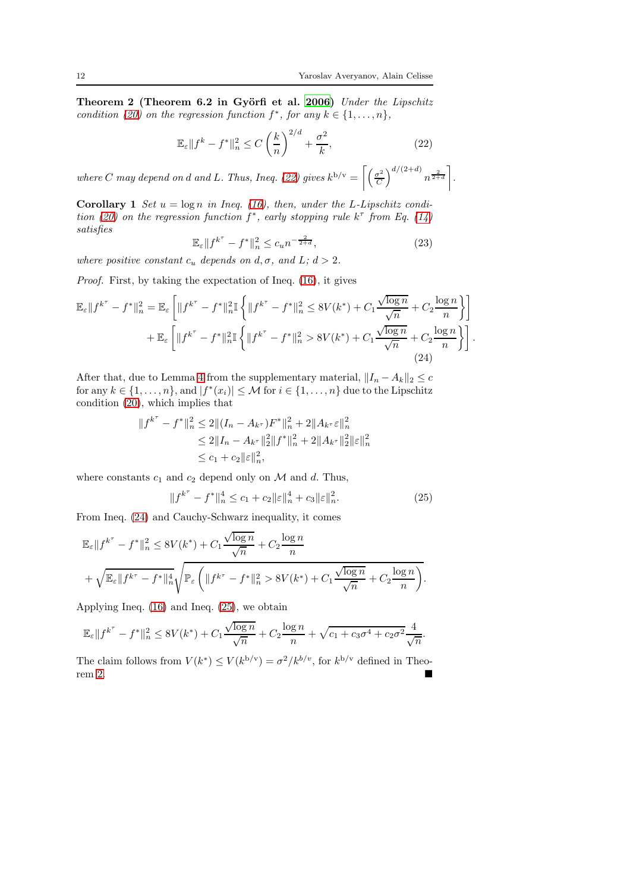Theorem 2 (Theorem 6.2 in Györfi et al. [2006\)](#page-23-0) *Under the Lipschitz condition* [\(20\)](#page-10-0) *on the regression function*  $f^*$ *, for any*  $k \in \{1, ..., n\}$ *,* 

<span id="page-11-0"></span>
$$
\mathbb{E}_{\varepsilon} \| f^k - f^* \|_n^2 \le C \left( \frac{k}{n} \right)^{2/d} + \frac{\sigma^2}{k},\tag{22}
$$

*where C* may depend on *d* and *L*. Thus, Ineq. [\(22\)](#page-11-0) gives  $k^{b/v} = \left[ \frac{\sigma^2}{C} \right]$  $\mathcal{C}_{0}^{(n)}$  $\int_0^{d/(2+d)} n^{\frac{2}{2+d}}$ *.*

**Corollary 1** *Set*  $u = \log n$  *in Ineq.* [\(16\)](#page-9-1)*, then, under the L-Lipschitz condition* [\(20\)](#page-10-0) on the regression function  $f^*$ , early stopping rule  $k^{\tau}$  from Eq. [\(14\)](#page-7-0) *satisfies*

<span id="page-11-1"></span>
$$
\mathbb{E}_{\varepsilon} \| f^{k^{\tau}} - f^* \|_n^2 \le c_u n^{-\frac{2}{2+d}},\tag{23}
$$

*where positive constant*  $c_u$  *depends on*  $d, \sigma$ *, and*  $L$ *;*  $d > 2$ *.* 

*Proof.* First, by taking the expectation of Ineq. [\(16\)](#page-9-1), it gives

$$
\mathbb{E}_{\varepsilon} \| f^{k^{\tau}} - f^{*} \|_{n}^{2} = \mathbb{E}_{\varepsilon} \left[ \| f^{k^{\tau}} - f^{*} \|_{n}^{2} \mathbb{I} \left\{ \| f^{k^{\tau}} - f^{*} \|_{n}^{2} \le 8V(k^{*}) + C_{1} \frac{\sqrt{\log n}}{\sqrt{n}} + C_{2} \frac{\log n}{n} \right\} \right] + \mathbb{E}_{\varepsilon} \left[ \| f^{k^{\tau}} - f^{*} \|_{n}^{2} \mathbb{I} \left\{ \| f^{k^{\tau}} - f^{*} \|_{n}^{2} > 8V(k^{*}) + C_{1} \frac{\sqrt{\log n}}{\sqrt{n}} + C_{2} \frac{\log n}{n} \right\} \right].
$$
\n(24)

After that, due to Lemma [4](#page-26-0) from the supplementary material,  $||I_n - A_k||_2 \leq c$ for any  $k \in \{1, ..., n\}$ , and  $|f^*(x_i)| \leq M$  for  $i \in \{1, ..., n\}$  due to the Lipschitz condition [\(20\)](#page-10-0), which implies that

$$
||f^{k^{\tau}} - f^*||_n^2 \le 2|| (I_n - A_{k^{\tau}})F^*||_n^2 + 2||A_{k^{\tau}} \varepsilon||_n^2
$$
  
\n
$$
\le 2||I_n - A_{k^{\tau}}||_2^2||f^*||_n^2 + 2||A_{k^{\tau}}||_2^2||\varepsilon||_n^2
$$
  
\n
$$
\le c_1 + c_2||\varepsilon||_n^2,
$$

where constants  $c_1$  and  $c_2$  depend only on  $\mathcal M$  and  $d$ . Thus,

<span id="page-11-2"></span>
$$
||f^{k^{\tau}} - f^*||_n^4 \le c_1 + c_2 ||\varepsilon||_n^4 + c_3 ||\varepsilon||_n^2.
$$
 (25)

From Ineq. [\(24\)](#page-11-1) and Cauchy-Schwarz inequality, it comes

$$
\mathbb{E}_{\varepsilon}||f^{k^{\tau}} - f^*||_n^2 \le 8V(k^*) + C_1 \frac{\sqrt{\log n}}{\sqrt{n}} + C_2 \frac{\log n}{n}
$$
  
+ 
$$
\sqrt{\mathbb{E}_{\varepsilon}||f^{k^{\tau}} - f^*||_n^4} \sqrt{\mathbb{P}_{\varepsilon} \left(||f^{k^{\tau}} - f^*||_n^2 > 8V(k^*) + C_1 \frac{\sqrt{\log n}}{\sqrt{n}} + C_2 \frac{\log n}{n}\right)}.
$$

Applying Ineq. [\(16\)](#page-9-1) and Ineq. [\(25\)](#page-11-2), we obtain

$$
\mathbb{E}_{\varepsilon} \| f^{k^{\tau}} - f^* \|_n^2 \le 8V(k^*) + C_1 \frac{\sqrt{\log n}}{\sqrt{n}} + C_2 \frac{\log n}{n} + \sqrt{c_1 + c_3 \sigma^4 + c_2 \sigma^2} \frac{4}{\sqrt{n}}.
$$

The claim follows from  $V(k^*) \le V(k^{b/v}) = \sigma^2 / k^{b/v}$ , for  $k^{b/v}$  defined in Theorem [2.](#page-10-1)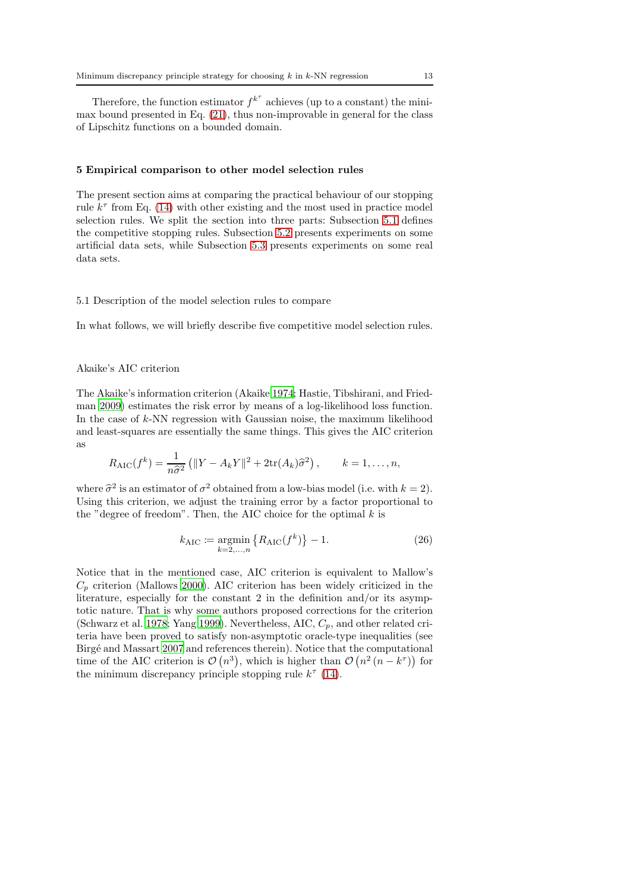Therefore, the function estimator  $f^{k^{\tau}}$  achieves (up to a constant) the minimax bound presented in Eq. [\(21\)](#page-10-2), thus non-improvable in general for the class of Lipschitz functions on a bounded domain.

#### <span id="page-12-0"></span>5 Empirical comparison to other model selection rules

The present section aims at comparing the practical behaviour of our stopping rule  $k^{\tau}$  from Eq. [\(14\)](#page-7-0) with other existing and the most used in practice model selection rules. We split the section into three parts: Subsection [5.1](#page-12-1) defines the competitive stopping rules. Subsection [5.2](#page-14-0) presents experiments on some artificial data sets, while Subsection [5.3](#page-16-0) presents experiments on some real data sets.

### <span id="page-12-1"></span>5.1 Description of the model selection rules to compare

In what follows, we will briefly describe five competitive model selection rules.

### Akaike's AIC criterion

The Akaike's information criterion (Akaike [1974](#page-20-2); Hastie, Tibshirani, and Friedman [2009](#page-23-5)) estimates the risk error by means of a log-likelihood loss function. In the case of k-NN regression with Gaussian noise, the maximum likelihood and least-squares are essentially the same things. This gives the AIC criterion as

$$
R_{\rm AIC}(f^k) = \frac{1}{n\widehat{\sigma}^2} \left( \|Y - A_k Y\|^2 + 2 \text{tr}(A_k) \widehat{\sigma}^2 \right), \qquad k = 1, \ldots, n,
$$

where  $\hat{\sigma}^2$  is an estimator of  $\sigma^2$  obtained from a low-bias model (i.e. with  $k = 2$ ). Using this criterion, we adjust the training error by a factor proportional to the "degree of freedom". Then, the AIC choice for the optimal  $k$  is

<span id="page-12-2"></span>
$$
k_{\text{AIC}} := \underset{k=2,\dots,n}{\text{argmin}} \left\{ R_{\text{AIC}}(f^k) \right\} - 1. \tag{26}
$$

Notice that in the mentioned case, AIC criterion is equivalent to Mallow's  $C_p$  criterion (Mallows [2000\)](#page-24-1). AIC criterion has been widely criticized in the literature, especially for the constant 2 in the definition and/or its asymptotic nature. That is why some authors proposed corrections for the criterion (Schwarz et al. [1978;](#page-24-11) Yang [1999\)](#page-24-12). Nevertheless, AIC,  $C_p$ , and other related criteria have been proved to satisfy non-asymptotic oracle-type inequalities (see Birg´e and Massart [2007](#page-22-3) and references therein). Notice that the computational time of the AIC criterion is  $\mathcal{O}(n^3)$ , which is higher than  $\mathcal{O}(n^2 (n - k^{\tau}))$  for the minimum discrepancy principle stopping rule  $k^{\tau}$  [\(14\)](#page-7-0).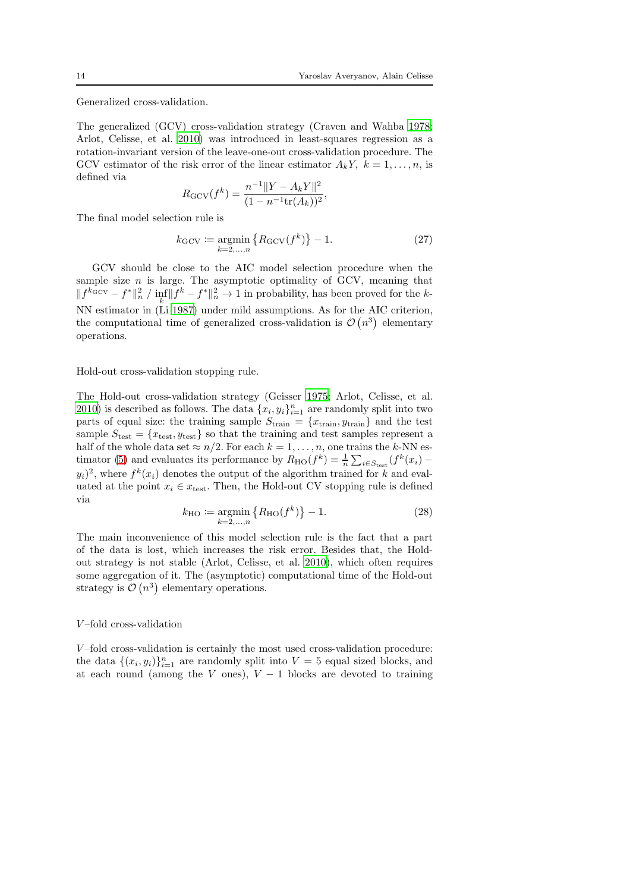Generalized cross-validation.

The generalized (GCV) cross-validation strategy (Craven and Wahba [1978;](#page-23-10) Arlot, Celisse, et al. [2010](#page-20-1)) was introduced in least-squares regression as a rotation-invariant version of the leave-one-out cross-validation procedure. The GCV estimator of the risk error of the linear estimator  $A_kY$ ,  $k=1,\ldots,n$ , is defined via

$$
R_{\rm GCV}(f^k) = \frac{n^{-1} ||Y - A_k Y||^2}{(1 - n^{-1} \text{tr}(A_k))^2},
$$

The final model selection rule is

<span id="page-13-1"></span>
$$
k_{\text{GCV}} := \underset{k=2,\dots,n}{\text{argmin}} \left\{ R_{\text{GCV}}(f^k) \right\} - 1. \tag{27}
$$

GCV should be close to the AIC model selection procedure when the sample size  $n$  is large. The asymptotic optimality of GCV, meaning that  $||f^{k_{\text{GCV}}} - f^{*}||_{n}^{2}$  /  $\inf_{k} ||f^{k} - f^{*}||_{n}^{2} \to 1$  in probability, has been proved for the k-NN estimator in (Li [1987\)](#page-23-4) under mild assumptions. As for the AIC criterion, the computational time of generalized cross-validation is  $\mathcal{O}(n^3)$  elementary operations.

Hold-out cross-validation stopping rule.

The Hold-out cross-validation strategy (Geisser [1975;](#page-23-11) Arlot, Celisse, et al. [2010\)](#page-20-1) is described as follows. The data  $\{x_i, y_i\}_{i=1}^n$  are randomly split into two parts of equal size: the training sample  $S_{\text{train}} = \{x_{\text{train}}, y_{\text{train}}\}$  and the test sample  $S_{\text{test}} = \{x_{\text{test}}, y_{\text{test}}\}$  so that the training and test samples represent a half of the whole data set  $\approx n/2$ . For each  $k = 1, ..., n$ , one trains the k-NN es-timator [\(5\)](#page-4-1) and evaluates its performance by  $R_{\text{HO}}(f^k) = \frac{1}{n} \sum_{i \in S_{\text{test}}}(f^k(x_i) (y_i)^2$ , where  $f^k(x_i)$  denotes the output of the algorithm trained for k and evaluated at the point  $x_i \in x_{\text{test}}$ . Then, the Hold-out CV stopping rule is defined via

<span id="page-13-0"></span>
$$
k_{\rm HO} := \underset{k=2,\dots,n}{\text{argmin}} \left\{ R_{\rm HO}(f^k) \right\} - 1. \tag{28}
$$

The main inconvenience of this model selection rule is the fact that a part of the data is lost, which increases the risk error. Besides that, the Holdout strategy is not stable (Arlot, Celisse, et al. [2010\)](#page-20-1), which often requires some aggregation of it. The (asymptotic) computational time of the Hold-out strategy is  $\mathcal{O}(n^3)$  elementary operations.

#### V –fold cross-validation

 $V$ -fold cross-validation is certainly the most used cross-validation procedure: the data  $\{(x_i, y_i)\}_{i=1}^n$  are randomly split into  $V = 5$  equal sized blocks, and at each round (among the V ones),  $V - 1$  blocks are devoted to training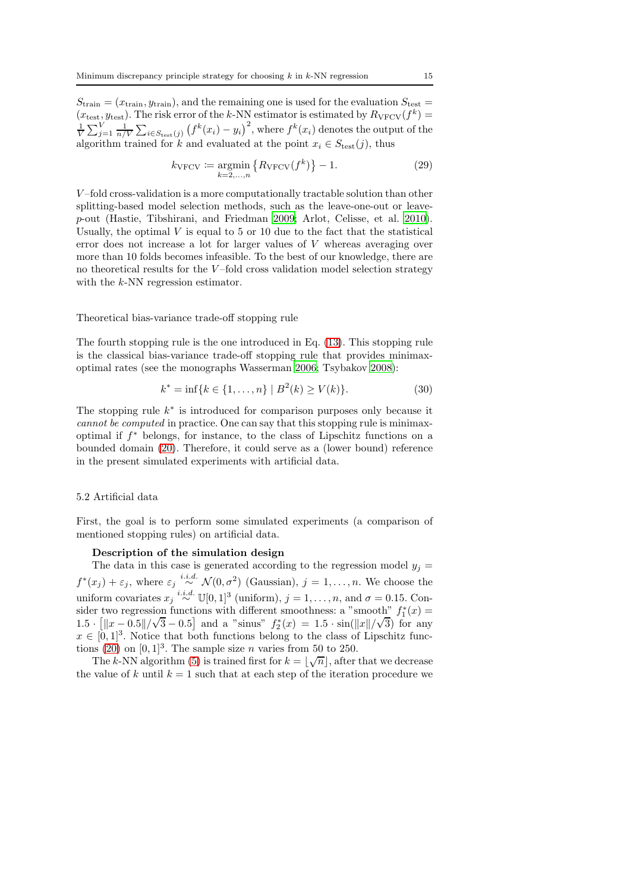$S_{\text{train}} = (x_{\text{train}}, y_{\text{train}})$ , and the remaining one is used for the evaluation  $S_{\text{test}} =$  $(x_{\text{test}}, y_{\text{test}})$ . The risk error of the k-NN estimator is estimated by  $R_{\text{VFCV}}(f^k)$  =  $\frac{1}{V}\sum_{j=1}^V\frac{1}{n/V}\sum_{i\in S_{\text{test}}(j)}\left(f^k(x_i)-y_i\right)^2$ , where  $f^k(x_i)$  denotes the output of the algorithm trained for k and evaluated at the point  $x_i \in S_{test}(j)$ , thus

<span id="page-14-1"></span>
$$
k_{\text{VFCV}} \coloneqq \underset{k=2,\dots,n}{\text{argmin}} \left\{ R_{\text{VFCV}}(f^k) \right\} - 1. \tag{29}
$$

V –fold cross-validation is a more computationally tractable solution than other splitting-based model selection methods, such as the leave-one-out or leavep-out (Hastie, Tibshirani, and Friedman [2009](#page-23-5); Arlot, Celisse, et al. [2010](#page-20-1)). Usually, the optimal  $V$  is equal to 5 or 10 due to the fact that the statistical error does not increase a lot for larger values of V whereas averaging over more than 10 folds becomes infeasible. To the best of our knowledge, there are no theoretical results for the  $V$ -fold cross validation model selection strategy with the k-NN regression estimator.

#### Theoretical bias-variance trade-off stopping rule

The fourth stopping rule is the one introduced in Eq. [\(13\)](#page-7-1). This stopping rule is the classical bias-variance trade-off stopping rule that provides minimaxoptimal rates (see the monographs Wasserman [2006;](#page-24-8) Tsybakov [2008\)](#page-24-9):

$$
k^* = \inf\{k \in \{1, \dots, n\} \mid B^2(k) \ge V(k)\}.
$$
 (30)

The stopping rule  $k^*$  is introduced for comparison purposes only because it *cannot be computed* in practice. One can say that this stopping rule is minimaxoptimal if f <sup>∗</sup> belongs, for instance, to the class of Lipschitz functions on a bounded domain [\(20\)](#page-10-0). Therefore, it could serve as a (lower bound) reference in the present simulated experiments with artificial data.

#### <span id="page-14-0"></span>5.2 Artificial data

First, the goal is to perform some simulated experiments (a comparison of mentioned stopping rules) on artificial data.

#### Description of the simulation design

The data in this case is generated according to the regression model  $y_i =$  $f^*(x_j) + \varepsilon_j$ , where  $\varepsilon_j \stackrel{i.i.d.}{\sim} \mathcal{N}(0, \sigma^2)$  (Gaussian),  $j = 1, \ldots, n$ . We choose the uniform covariates  $x_j \stackrel{i.i.d.}{\sim} \mathbb{U}[0,1]^3$  (uniform),  $j = 1, \ldots, n$ , and  $\sigma = 0.15$ . Consider two regression functions with different smoothness: a "smooth"  $f_1^*(x) =$ 1.5 ·  $\left[ \|x - 0.5\| / \sqrt{3} - 0.5 \right]$  and a "sinus"  $f_2^*(x) = 1.5 \cdot \sin(\frac{||x||}{\sqrt{3}})$  for any  $x \in [0,1]^3$ . Notice that both functions belong to the class of Lipschitz func-tions [\(20\)](#page-10-0) on  $[0, 1]^3$ . The sample size *n* varies from 50 to 250.

The k-NN algorithm [\(5\)](#page-4-1) is trained first for  $k = \lfloor \sqrt{n} \rfloor$ , after that we decrease the value of k until  $k = 1$  such that at each step of the iteration procedure we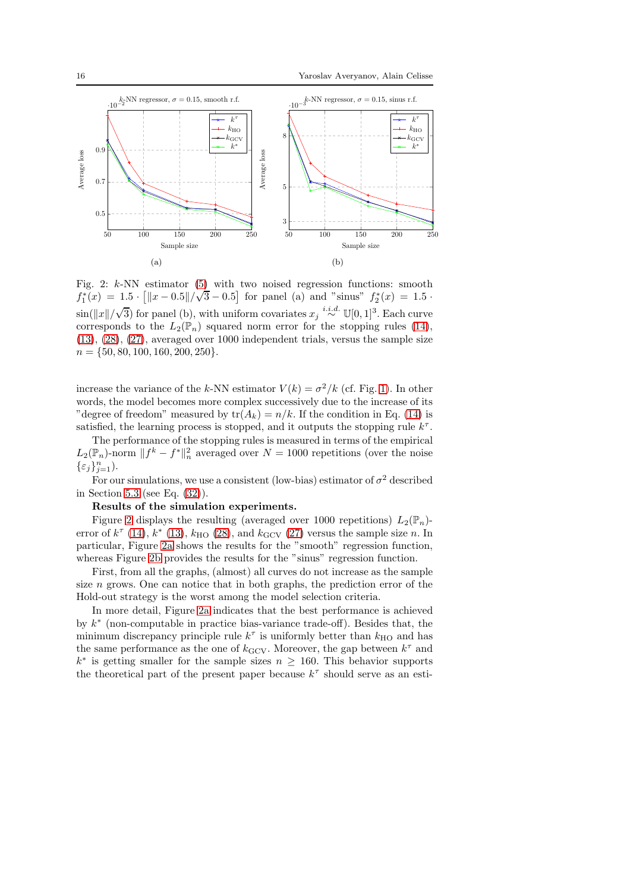<span id="page-15-0"></span>

Fig. 2:  $k$ -NN estimator [\(5\)](#page-4-1) with two noised regression functions: smooth  $f_1^*(x) = 1.5 \cdot \frac{[||x - 0.5||}{\sqrt{3} - 0.5]}$  for panel (a) and "sinus"  $f_2^*(x) = 1.5$ .  $\sin(\Vert x \Vert/\sqrt{3})$  for panel (b), with uniform covariates  $x_j \stackrel{i.i.d.}{\sim} \mathbb{U}[0,1]^3$ . Each curve corresponds to the  $L_2(\mathbb{P}_n)$  squared norm error for the stopping rules [\(14\)](#page-7-0), [\(13\)](#page-7-1), [\(28\)](#page-13-0), [\(27\)](#page-13-1), averaged over 1000 independent trials, versus the sample size  $n = \{50, 80, 100, 160, 200, 250\}.$ 

increase the variance of the k-NN estimator  $V(k) = \sigma^2/k$  (cf. Fig. [1\)](#page-6-0). In other words, the model becomes more complex successively due to the increase of its "degree of freedom" measured by  $tr(A_k) = n/k$ . If the condition in Eq. [\(14\)](#page-7-0) is satisfied, the learning process is stopped, and it outputs the stopping rule  $k^{\tau}$ .

The performance of the stopping rules is measured in terms of the empirical  $L_2(\mathbb{P}_n)$ -norm  $|| f^k - f^* ||_n^2$  averaged over  $N = 1000$  repetitions (over the noise  $\{\varepsilon_j\}_{j=1}^n$ ).

For our simulations, we use a consistent (low-bias) estimator of  $\sigma^2$  described in Section [5.3](#page-16-0) (see Eq. [\(32\)](#page-17-0)).

### Results of the simulation experiments.

Figure [2](#page-15-0) displays the resulting (averaged over 1000 repetitions)  $L_2(\mathbb{P}_n)$ error of  $k^{\tau}$  [\(14\)](#page-7-0),  $k^*$  [\(13\)](#page-7-1),  $k_{\text{HO}}$  [\(28\)](#page-13-0), and  $k_{\text{GCV}}$  [\(27\)](#page-13-1) versus the sample size n. In particular, Figure [2a](#page-15-0) shows the results for the "smooth" regression function, whereas Figure [2b](#page-15-0) provides the results for the "sinus" regression function.

First, from all the graphs, (almost) all curves do not increase as the sample size  $n$  grows. One can notice that in both graphs, the prediction error of the Hold-out strategy is the worst among the model selection criteria.

In more detail, Figure [2a](#page-15-0) indicates that the best performance is achieved by  $k^*$  (non-computable in practice bias-variance trade-off). Besides that, the minimum discrepancy principle rule  $k^{\tau}$  is uniformly better than  $k_{\text{HO}}$  and has the same performance as the one of  $k$ <sub>GCV</sub>. Moreover, the gap between  $k^{\tau}$  and  $k^*$  is getting smaller for the sample sizes  $n \geq 160$ . This behavior supports the theoretical part of the present paper because  $k^{\tau}$  should serve as an esti-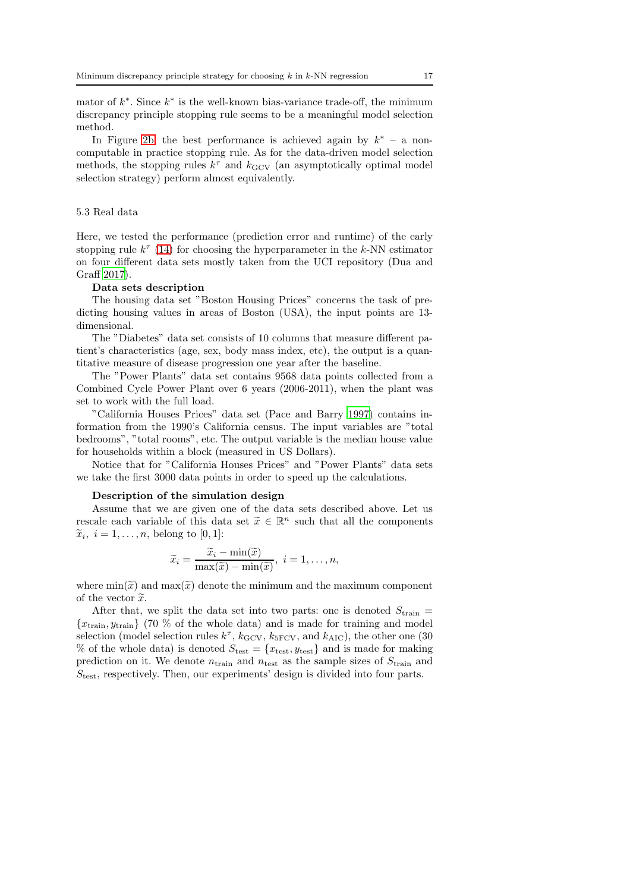mator of  $k^*$ . Since  $k^*$  is the well-known bias-variance trade-off, the minimum discrepancy principle stopping rule seems to be a meaningful model selection method.

In Figure [2b,](#page-15-0) the best performance is achieved again by  $k^*$  – a noncomputable in practice stopping rule. As for the data-driven model selection methods, the stopping rules  $k^{\tau}$  and  $k_{\text{GCV}}$  (an asymptotically optimal model selection strategy) perform almost equivalently.

### <span id="page-16-0"></span>5.3 Real data

Here, we tested the performance (prediction error and runtime) of the early stopping rule  $k^{\tau}$  [\(14\)](#page-7-0) for choosing the hyperparameter in the k-NN estimator on four different data sets mostly taken from the UCI repository (Dua and Graff [2017\)](#page-23-12).

#### Data sets description

The housing data set "Boston Housing Prices" concerns the task of predicting housing values in areas of Boston (USA), the input points are 13 dimensional.

The "Diabetes" data set consists of 10 columns that measure different patient's characteristics (age, sex, body mass index, etc), the output is a quantitative measure of disease progression one year after the baseline.

The "Power Plants" data set contains 9568 data points collected from a Combined Cycle Power Plant over 6 years (2006-2011), when the plant was set to work with the full load.

"California Houses Prices" data set (Pace and Barry [1997\)](#page-24-13) contains information from the 1990's California census. The input variables are "total bedrooms", "total rooms", etc. The output variable is the median house value for households within a block (measured in US Dollars).

Notice that for "California Houses Prices" and "Power Plants" data sets we take the first 3000 data points in order to speed up the calculations.

#### Description of the simulation design

Assume that we are given one of the data sets described above. Let us rescale each variable of this data set  $\tilde{x} \in \mathbb{R}^n$  such that all the components  $\widetilde{x}_i, i = 1, \ldots, n$ , belong to [0, 1]:

$$
\widetilde{x}_i = \frac{\widetilde{x}_i - \min(\widetilde{x})}{\max(\widetilde{x}) - \min(\widetilde{x})}, \ i = 1, \dots, n,
$$

where  $\min(\tilde{x})$  and  $\max(\tilde{x})$  denote the minimum and the maximum component of the vector  $\widetilde{x}$ .

After that, we split the data set into two parts: one is denoted  $S_{\text{train}} =$  ${x<sub>train</sub>, y<sub>train</sub>}$  (70 % of the whole data) and is made for training and model selection (model selection rules  $k^{\tau}$ ,  $k_{\text{GCV}}$ ,  $k_{\text{5FCV}}$ , and  $k_{\text{AIC}}$ ), the other one (30 % of the whole data) is denoted  $S_{\text{test}} = \{x_{\text{test}}, y_{\text{test}}\}$  and is made for making prediction on it. We denote  $n_{\text{train}}$  and  $n_{\text{test}}$  as the sample sizes of  $S_{\text{train}}$  and  $S_{\text{test}}$ , respectively. Then, our experiments' design is divided into four parts.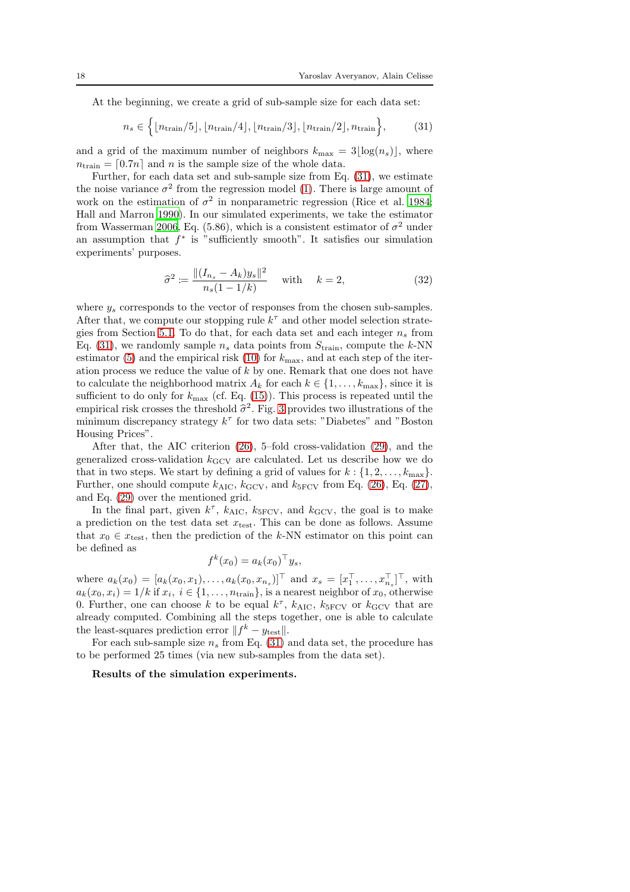At the beginning, we create a grid of sub-sample size for each data set:

<span id="page-17-1"></span>
$$
n_s \in \left\{ \left\lfloor n_{\text{train}}/5 \right\rfloor, \left\lfloor n_{\text{train}}/4 \right\rfloor, \left\lfloor n_{\text{train}}/3 \right\rfloor, \left\lfloor n_{\text{train}}/2 \right\rfloor, n_{\text{train}} \right\},\tag{31}
$$

and a grid of the maximum number of neighbors  $k_{\text{max}} = 3|\log(n_s)|$ , where  $n_{\text{train}} = [0.7n]$  and n is the sample size of the whole data.

Further, for each data set and sub-sample size from Eq. [\(31\)](#page-17-1), we estimate the noise variance  $\sigma^2$  from the regression model [\(1\)](#page-2-1). There is large amount of work on the estimation of  $\sigma^2$  in nonparametric regression (Rice et al. [1984;](#page-24-14) Hall and Marron [1990\)](#page-23-13). In our simulated experiments, we take the estimator from Wasserman [2006,](#page-24-8) Eq. (5.86), which is a consistent estimator of  $\sigma^2$  under an assumption that  $f^*$  is "sufficiently smooth". It satisfies our simulation experiments' purposes.

<span id="page-17-0"></span>
$$
\hat{\sigma}^2 := \frac{\|(I_{n_s} - A_k)y_s\|^2}{n_s(1 - 1/k)} \quad \text{with} \quad k = 2,
$$
\n(32)

where  $y_s$  corresponds to the vector of responses from the chosen sub-samples. After that, we compute our stopping rule  $k^{\tau}$  and other model selection strate-gies from Section [5.1.](#page-12-1) To do that, for each data set and each integer  $n_s$  from Eq. [\(31\)](#page-17-1), we randomly sample  $n_s$  data points from  $S_{\text{train}}$ , compute the k-NN estimator [\(5\)](#page-4-1) and the empirical risk [\(10\)](#page-5-0) for  $k_{\text{max}}$ , and at each step of the iteration process we reduce the value of k by one. Remark that one does not have to calculate the neighborhood matrix  $A_k$  for each  $k \in \{1, \ldots, k_{\text{max}}\}$ , since it is sufficient to do only for  $k_{\text{max}}$  (cf. Eq. [\(15\)](#page-8-0)). This process is repeated until the empirical risk crosses the threshold  $\hat{\sigma}^2$ . Fig. [3](#page-19-1) provides two illustrations of the minimum discrepancy strategy  $k^{\tau}$  for two data sets: "Diabetes" and "Boston Housing Prices".

After that, the AIC criterion [\(26\)](#page-12-2), 5–fold cross-validation [\(29\)](#page-14-1), and the generalized cross-validation  $k_{\text{GCV}}$  are calculated. Let us describe how we do that in two steps. We start by defining a grid of values for  $k : \{1, 2, \ldots, k_{\text{max}}\}.$ Further, one should compute  $k_{\text{AIC}}$ ,  $k_{\text{GCV}}$ , and  $k_{\text{5FCV}}$  from Eq. [\(26\)](#page-12-2), Eq. [\(27\)](#page-13-1), and Eq. [\(29\)](#page-14-1) over the mentioned grid.

In the final part, given  $k^{\tau}$ ,  $k_{\text{AIC}}$ ,  $k_{\text{5FCV}}$ , and  $k_{\text{GCV}}$ , the goal is to make a prediction on the test data set  $x_{\text{test}}$ . This can be done as follows. Assume that  $x_0 \in x_{\text{test}}$ , then the prediction of the k-NN estimator on this point can be defined as

$$
f^k(x_0) = a_k(x_0)^\top y_s,
$$

where  $a_k(x_0) = [a_k(x_0, x_1), \ldots, a_k(x_0, x_{n_s})]^\top$  and  $x_s = [x_1^\top, \ldots, x_{n_s}^\top]^\top$ , with  $a_k(x_0, x_i) = 1/k$  if  $x_i, i \in \{1, \ldots, n_{\text{train}}\},$  is a nearest neighbor of  $x_0$ , otherwise 0. Further, one can choose k to be equal  $k^{\tau}$ ,  $k_{\text{AIC}}$ ,  $k_{\text{5FCV}}$  or  $k_{\text{GCV}}$  that are already computed. Combining all the steps together, one is able to calculate the least-squares prediction error  $|| f^k - y_{\text{test}} ||.$ 

For each sub-sample size  $n_s$  from Eq. [\(31\)](#page-17-1) and data set, the procedure has to be performed 25 times (via new sub-samples from the data set).

#### Results of the simulation experiments.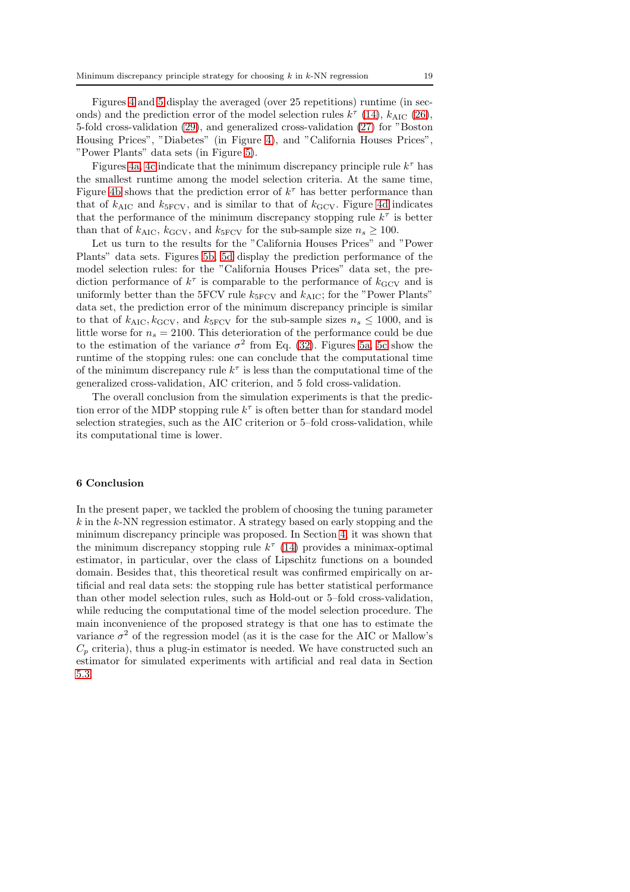Figures [4](#page-20-3) and [5](#page-21-4) display the averaged (over 25 repetitions) runtime (in seconds) and the prediction error of the model selection rules  $k^{\tau}$  [\(14\)](#page-7-0),  $k_{\text{AIC}}$  [\(26\)](#page-12-2), 5-fold cross-validation [\(29\)](#page-14-1), and generalized cross-validation [\(27\)](#page-13-1) for "Boston Housing Prices", "Diabetes" (in Figure [4\)](#page-20-3), and "California Houses Prices", "Power Plants" data sets (in Figure [5\)](#page-21-4).

Figures [4a, 4c](#page-20-3) indicate that the minimum discrepancy principle rule  $k^{\tau}$  has the smallest runtime among the model selection criteria. At the same time, Figure [4b](#page-20-3) shows that the prediction error of  $k^{\tau}$  has better performance than that of  $k_{\text{AIC}}$  and  $k_{\text{5FCV}}$ , and is similar to that of  $k_{\text{GCV}}$ . Figure [4d](#page-20-3) indicates that the performance of the minimum discrepancy stopping rule  $k^{\tau}$  is better than that of  $k_{\text{AIC}}$ ,  $k_{\text{GCV}}$ , and  $k_{\text{5FCV}}$  for the sub-sample size  $n_s \geq 100$ .

Let us turn to the results for the "California Houses Prices" and "Power Plants" data sets. Figures [5b, 5d](#page-21-4) display the prediction performance of the model selection rules: for the "California Houses Prices" data set, the prediction performance of  $k^{\tau}$  is comparable to the performance of  $k_{\text{GCV}}$  and is uniformly better than the 5FCV rule  $k_{5}$ <sub>FCV</sub> and  $k_{AIC}$ ; for the "Power Plants" data set, the prediction error of the minimum discrepancy principle is similar to that of  $k_{\text{AIC}}, k_{\text{GCV}}$ , and  $k_{\text{SFCV}}$  for the sub-sample sizes  $n_s \leq 1000$ , and is little worse for  $n_s = 2100$ . This deterioration of the performance could be due to the estimation of the variance  $\sigma^2$  from Eq. [\(32\)](#page-17-0). Figures [5a, 5c](#page-21-4) show the runtime of the stopping rules: one can conclude that the computational time of the minimum discrepancy rule  $k^{\tau}$  is less than the computational time of the generalized cross-validation, AIC criterion, and 5 fold cross-validation.

The overall conclusion from the simulation experiments is that the prediction error of the MDP stopping rule  $k^{\tau}$  is often better than for standard model selection strategies, such as the AIC criterion or 5–fold cross-validation, while its computational time is lower.

#### <span id="page-18-0"></span>6 Conclusion

In the present paper, we tackled the problem of choosing the tuning parameter  $k$  in the k-NN regression estimator. A strategy based on early stopping and the minimum discrepancy principle was proposed. In Section [4,](#page-9-0) it was shown that the minimum discrepancy stopping rule  $k^{\tau}$  [\(14\)](#page-7-0) provides a minimax-optimal estimator, in particular, over the class of Lipschitz functions on a bounded domain. Besides that, this theoretical result was confirmed empirically on artificial and real data sets: the stopping rule has better statistical performance than other model selection rules, such as Hold-out or 5–fold cross-validation, while reducing the computational time of the model selection procedure. The main inconvenience of the proposed strategy is that one has to estimate the variance  $\sigma^2$  of the regression model (as it is the case for the AIC or Mallow's  $C_p$  criteria), thus a plug-in estimator is needed. We have constructed such an estimator for simulated experiments with artificial and real data in Section [5.3.](#page-16-0)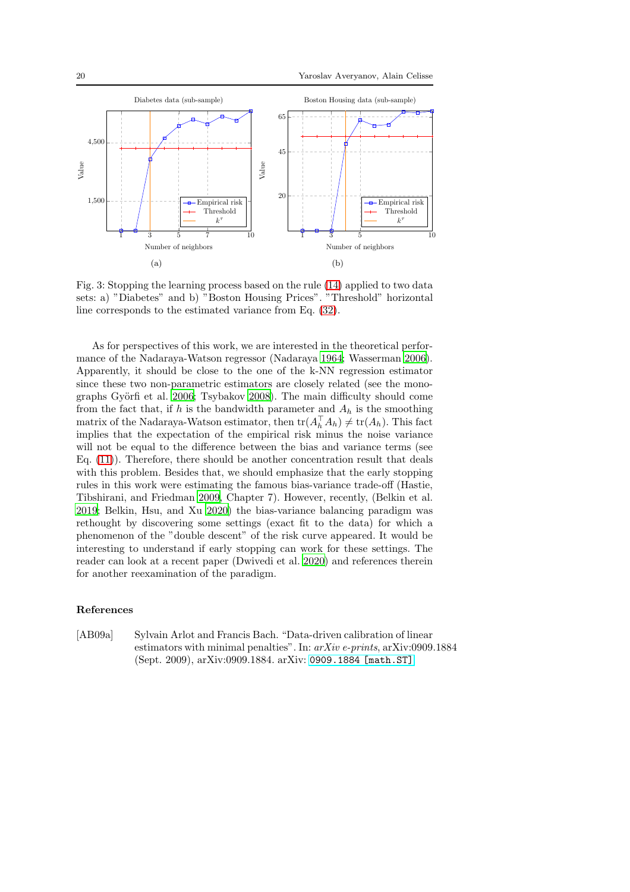<span id="page-19-1"></span>

Fig. 3: Stopping the learning process based on the rule [\(14\)](#page-7-0) applied to two data sets: a) "Diabetes" and b) "Boston Housing Prices". "Threshold" horizontal line corresponds to the estimated variance from Eq. [\(32\)](#page-17-0).

As for perspectives of this work, we are interested in the theoretical performance of the Nadaraya-Watson regressor (Nadaraya [1964](#page-24-15); Wasserman [2006](#page-24-8)). Apparently, it should be close to the one of the k-NN regression estimator since these two non-parametric estimators are closely related (see the mono-graphs Györfi et al. [2006;](#page-23-0) Tsybakov [2008](#page-24-9)). The main difficulty should come from the fact that, if h is the bandwidth parameter and  $A_h$  is the smoothing matrix of the Nadaraya-Watson estimator, then  $\text{tr}(A_h^{\top} A_h) \neq \text{tr}(A_h)$ . This fact implies that the expectation of the empirical risk minus the noise variance will not be equal to the difference between the bias and variance terms (see Eq. [\(11\)](#page-5-1)). Therefore, there should be another concentration result that deals with this problem. Besides that, we should emphasize that the early stopping rules in this work were estimating the famous bias-variance trade-off (Hastie, Tibshirani, and Friedman [2009,](#page-23-5) Chapter 7). However, recently, (Belkin et al. [2019;](#page-22-11) Belkin, Hsu, and Xu [2020](#page-22-12)) the bias-variance balancing paradigm was rethought by discovering some settings (exact fit to the data) for which a phenomenon of the "double descent" of the risk curve appeared. It would be interesting to understand if early stopping can work for these settings. The reader can look at a recent paper (Dwivedi et al. [2020\)](#page-23-14) and references therein for another reexamination of the paradigm.

### <span id="page-19-0"></span>References

[AB09a] Sylvain Arlot and Francis Bach. "Data-driven calibration of linear estimators with minimal penalties". In: *arXiv e-prints*, arXiv:0909.1884 (Sept. 2009), arXiv:0909.1884. arXiv: [0909.1884 \[math.ST\]](https://arxiv.org/abs/0909.1884).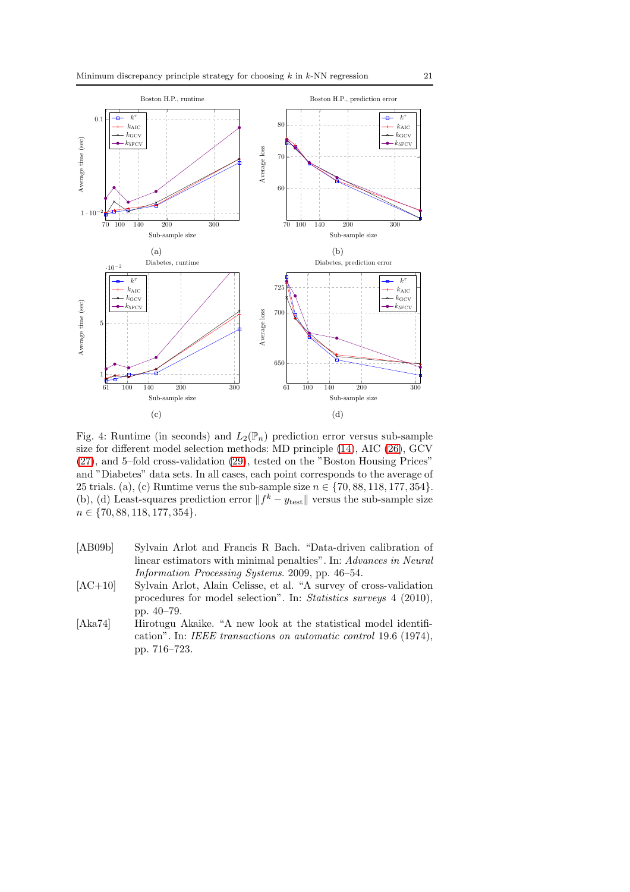<span id="page-20-3"></span>

Fig. 4: Runtime (in seconds) and  $L_2(\mathbb{P}_n)$  prediction error versus sub-sample size for different model selection methods: MD principle [\(14\)](#page-7-0), AIC [\(26\)](#page-12-2), GCV [\(27\)](#page-13-1), and 5–fold cross-validation [\(29\)](#page-14-1), tested on the "Boston Housing Prices" and "Diabetes" data sets. In all cases, each point corresponds to the average of 25 trials. (a), (c) Runtime verus the sub-sample size  $n \in \{70, 88, 118, 177, 354\}.$ (b), (d) Least-squares prediction error  $|| f^k - y_{\text{test}} ||$  versus the sub-sample size  $n \in \{70, 88, 118, 177, 354\}.$ 

- <span id="page-20-0"></span>[AB09b] Sylvain Arlot and Francis R Bach. "Data-driven calibration of linear estimators with minimal penalties". In: *Advances in Neural Information Processing Systems*. 2009, pp. 46–54.
- <span id="page-20-1"></span>[AC+10] Sylvain Arlot, Alain Celisse, et al. "A survey of cross-validation procedures for model selection". In: *Statistics surveys* 4 (2010), pp. 40–79.
- <span id="page-20-2"></span>[Aka74] Hirotugu Akaike. "A new look at the statistical model identification". In: *IEEE transactions on automatic control* 19.6 (1974), pp. 716–723.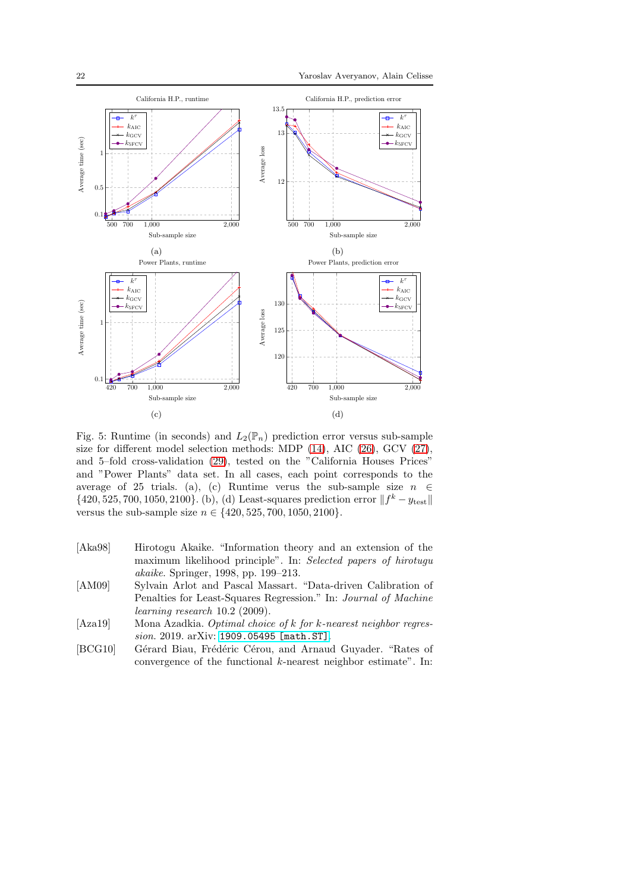<span id="page-21-4"></span>

Fig. 5: Runtime (in seconds) and  $L_2(\mathbb{P}_n)$  prediction error versus sub-sample size for different model selection methods: MDP [\(14\)](#page-7-0), AIC [\(26\)](#page-12-2), GCV [\(27\)](#page-13-1), and 5–fold cross-validation [\(29\)](#page-14-1), tested on the "California Houses Prices" and "Power Plants" data set. In all cases, each point corresponds to the average of 25 trials. (a), (c) Runtime verus the sub-sample size  $n \in$ {420, 525, 700, 1050, 2100}. (b), (d) Least-squares prediction error  $|| f^k - y_{\text{test}} ||$ versus the sub-sample size  $n \in \{420, 525, 700, 1050, 2100\}.$ 

- <span id="page-21-2"></span>[Aka98] Hirotogu Akaike. "Information theory and an extension of the maximum likelihood principle". In: *Selected papers of hirotugu akaike*. Springer, 1998, pp. 199–213.
- <span id="page-21-3"></span>[AM09] Sylvain Arlot and Pascal Massart. "Data-driven Calibration of Penalties for Least-Squares Regression." In: *Journal of Machine learning research* 10.2 (2009).
- <span id="page-21-1"></span>[Aza19] Mona Azadkia. *Optimal choice of* k *for* k*-nearest neighbor regression*. 2019. arXiv: [1909.05495 \[math.ST\]](https://arxiv.org/abs/1909.05495).
- <span id="page-21-0"></span>[BCG10] Gérard Biau, Frédéric Cérou, and Arnaud Guyader. "Rates of convergence of the functional  $k$ -nearest neighbor estimate". In: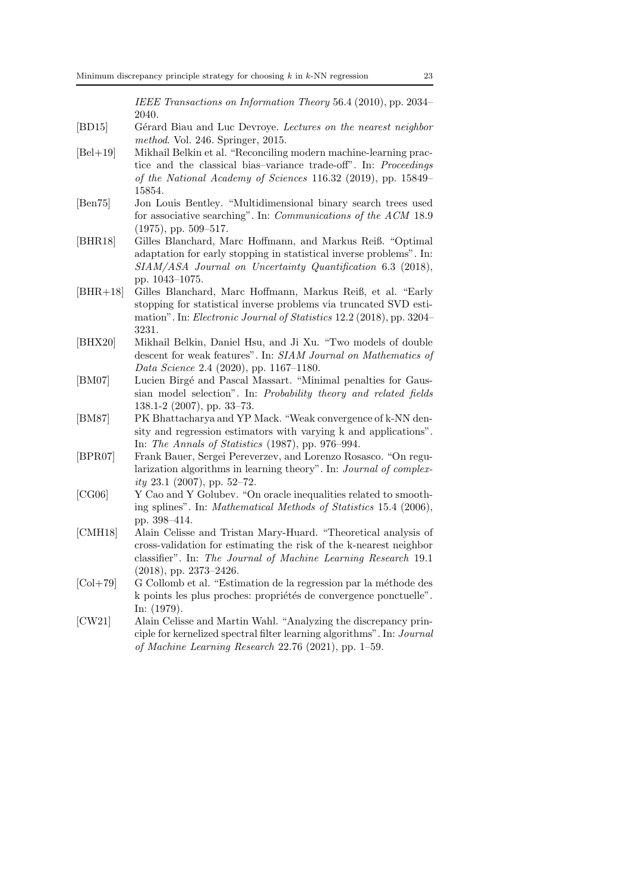*IEEE Transactions on Information Theory* 56.4 (2010), pp. 2034– 2040.

- <span id="page-22-11"></span><span id="page-22-0"></span>[BD15] G´erard Biau and Luc Devroye. *Lectures on the nearest neighbor method*. Vol. 246. Springer, 2015.
- [Bel+19] Mikhail Belkin et al. "Reconciling modern machine-learning practice and the classical bias–variance trade-off". In: *Proceedings of the National Academy of Sciences* 116.32 (2019), pp. 15849– 15854.
- <span id="page-22-10"></span>[Ben75] Jon Louis Bentley. "Multidimensional binary search trees used for associative searching". In: *Communications of the ACM* 18.9 (1975), pp. 509–517.
- <span id="page-22-4"></span>[BHR18] Gilles Blanchard, Marc Hoffmann, and Markus Reiß. "Optimal adaptation for early stopping in statistical inverse problems". In: *SIAM/ASA Journal on Uncertainty Quantification* 6.3 (2018), pp. 1043–1075.
- <span id="page-22-5"></span>[BHR+18] Gilles Blanchard, Marc Hoffmann, Markus Reiß, et al. "Early stopping for statistical inverse problems via truncated SVD estimation". In: *Electronic Journal of Statistics* 12.2 (2018), pp. 3204– 3231.
- <span id="page-22-12"></span>[BHX20] Mikhail Belkin, Daniel Hsu, and Ji Xu. "Two models of double descent for weak features". In: *SIAM Journal on Mathematics of Data Science* 2.4 (2020), pp. 1167–1180.
- <span id="page-22-3"></span>[BM07] Lucien Birgé and Pascal Massart. "Minimal penalties for Gaussian model selection". In: *Probability theory and related fields* 138.1-2 (2007), pp. 33–73.
- <span id="page-22-2"></span>[BM87] PK Bhattacharya and YP Mack. "Weak convergence of k-NN density and regression estimators with varying k and applications". In: *The Annals of Statistics* (1987), pp. 976–994.
- <span id="page-22-7"></span>[BPR07] Frank Bauer, Sergei Pereverzev, and Lorenzo Rosasco. "On regularization algorithms in learning theory". In: *Journal of complexity* 23.1 (2007), pp. 52–72.
- <span id="page-22-8"></span>[CG06] Y Cao and Y Golubev. "On oracle inequalities related to smoothing splines". In: *Mathematical Methods of Statistics* 15.4 (2006), pp. 398–414.
- <span id="page-22-9"></span>[CMH18] Alain Celisse and Tristan Mary-Huard. "Theoretical analysis of cross-validation for estimating the risk of the k-nearest neighbor classifier". In: *The Journal of Machine Learning Research* 19.1 (2018), pp. 2373–2426.
- <span id="page-22-1"></span> $[Col+79]$  G Collomb et al. "Estimation de la regression par la méthode des k points les plus proches: propriétés de convergence ponctuelle". In: (1979).
- <span id="page-22-6"></span>[CW21] Alain Celisse and Martin Wahl. "Analyzing the discrepancy principle for kernelized spectral filter learning algorithms". In: *Journal of Machine Learning Research* 22.76 (2021), pp. 1–59.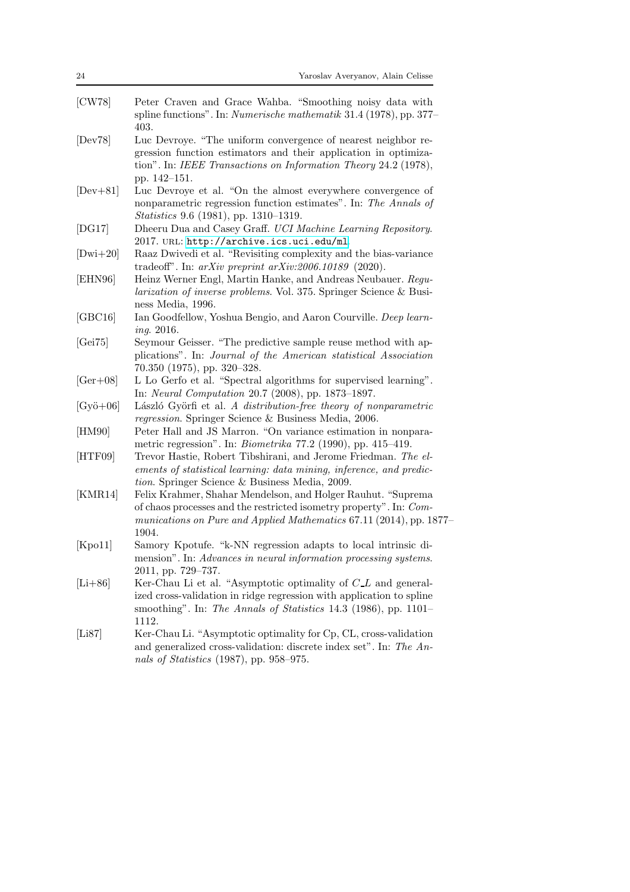<span id="page-23-15"></span><span id="page-23-14"></span><span id="page-23-13"></span><span id="page-23-12"></span><span id="page-23-11"></span><span id="page-23-10"></span><span id="page-23-9"></span><span id="page-23-8"></span><span id="page-23-7"></span><span id="page-23-6"></span><span id="page-23-5"></span><span id="page-23-4"></span><span id="page-23-3"></span><span id="page-23-2"></span><span id="page-23-1"></span><span id="page-23-0"></span>

| 24                  | Yaroslav Averyanov, Alain Celisse                                                                                                                                                                                                 |
|---------------------|-----------------------------------------------------------------------------------------------------------------------------------------------------------------------------------------------------------------------------------|
| [CW78]              | Peter Craven and Grace Wahba. "Smoothing noisy data with<br>spline functions". In: <i>Numerische mathematik</i> 31.4 (1978), pp. 377–<br>403.                                                                                     |
| [Dev78]             | Luc Devroye. "The uniform convergence of nearest neighbor re-<br>gression function estimators and their application in optimiza-<br>tion". In: IEEE Transactions on Information Theory 24.2 (1978),<br>pp. 142-151.               |
| $[Dev+81]$          | Luc Devroye et al. "On the almost everywhere convergence of<br>nonparametric regression function estimates". In: The Annals of<br><i>Statistics</i> 9.6 (1981), pp. 1310–1319.                                                    |
| [DG17]              | Dheeru Dua and Casey Graff. UCI Machine Learning Repository.<br>2017. URL: http://archive.ics.uci.edu/ml.                                                                                                                         |
| $[Dwi+20]$          | Raaz Dwivedi et al. "Revisiting complexity and the bias-variance"<br>tradeoff". In: $arXiv$ preprint $arXiv:2006.10189$ (2020).                                                                                                   |
| [EHN96]             | Heinz Werner Engl, Martin Hanke, and Andreas Neubauer. Regu-<br><i>larization of inverse problems.</i> Vol. 375. Springer Science & Busi-<br>ness Media, 1996.                                                                    |
| [GBC16]             | Ian Goodfellow, Yoshua Bengio, and Aaron Courville. Deep learn-<br><i>ing.</i> 2016.                                                                                                                                              |
| [Gei75]             | Seymour Geisser. "The predictive sample reuse method with ap-<br>plications". In: Journal of the American statistical Association<br>$70.350$ (1975), pp. 320-328.                                                                |
| $[Ger+08]$          | L Lo Gerfo et al. "Spectral algorithms for supervised learning".<br>In: Neural Computation 20.7 (2008), pp. 1873-1897.                                                                                                            |
| $[Gy\ddot{o} + 06]$ | László Györfi et al. A distribution-free theory of nonparametric<br>regression. Springer Science & Business Media, 2006.                                                                                                          |
| [HM90]              | Peter Hall and JS Marron. "On variance estimation in nonpara-<br>metric regression". In: <i>Biometrika</i> $77.2$ (1990), pp. 415–419.                                                                                            |
| [HTF09]             | Trevor Hastie, Robert Tibshirani, and Jerome Friedman. The el-<br>ements of statistical learning: data mining, inference, and predic-<br>tion. Springer Science & Business Media, 2009.                                           |
| [KMR14]             | Felix Krahmer, Shahar Mendelson, and Holger Rauhut. "Suprema<br>of chaos processes and the restricted isometry property". In: Com-<br>munications on Pure and Applied Mathematics 67.11 (2014), pp. 1877–<br>1904.                |
| [Kpo11]             | Samory Kpotufe. "k-NN regression adapts to local intrinsic di-<br>mension". In: Advances in neural information processing systems.<br>$2011$ , pp. $729-737$ .                                                                    |
| $[Li+86]$           | Ker-Chau Li et al. "Asymptotic optimality of $C_{\mathcal{L}} L$ and general-<br>ized cross-validation in ridge regression with application to spline<br>smoothing". In: The Annals of Statistics 14.3 (1986), pp. 1101–<br>1112. |
| [Li87]              | Ker-Chau Li. "Asymptotic optimality for Cp, CL, cross-validation<br>and generalized cross-validation: discrete index set". In: The An-<br>nals of Statistics $(1987)$ , pp. 958–975.                                              |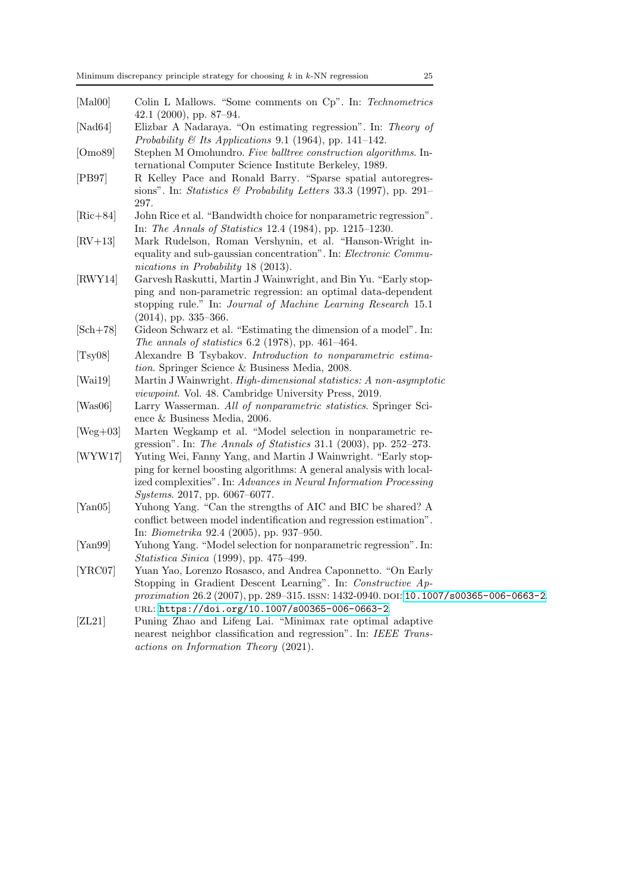- <span id="page-24-15"></span><span id="page-24-1"></span>[Mal00] Colin L Mallows. "Some comments on Cp". In: *Technometrics* 42.1 (2000), pp. 87–94.
- <span id="page-24-10"></span>[Nad64] Elizbar A Nadaraya. "On estimating regression". In: *Theory of Probability & Its Applications* 9.1 (1964), pp. 141–142.
- <span id="page-24-13"></span>[Omo89] Stephen M Omohundro. *Five balltree construction algorithms*. International Computer Science Institute Berkeley, 1989.
- [PB97] R Kelley Pace and Ronald Barry. "Sparse spatial autoregressions". In: *Statistics & Probability Letters* 33.3 (1997), pp. 291– 297.
- <span id="page-24-14"></span>[Ric+84] John Rice et al. "Bandwidth choice for nonparametric regression". In: *The Annals of Statistics* 12.4 (1984), pp. 1215–1230.
- <span id="page-24-16"></span>[RV+13] Mark Rudelson, Roman Vershynin, et al. "Hanson-Wright inequality and sub-gaussian concentration". In: *Electronic Communications in Probability* 18 (2013).
- <span id="page-24-3"></span>[RWY14] Garvesh Raskutti, Martin J Wainwright, and Bin Yu. "Early stopping and non-parametric regression: an optimal data-dependent stopping rule." In: *Journal of Machine Learning Research* 15.1 (2014), pp. 335–366.
- <span id="page-24-11"></span>[Sch+78] Gideon Schwarz et al. "Estimating the dimension of a model". In: *The annals of statistics* 6.2 (1978), pp. 461–464.
- <span id="page-24-9"></span>[Tsy08] Alexandre B Tsybakov. *Introduction to nonparametric estimation*. Springer Science & Business Media, 2008.
- <span id="page-24-6"></span>[Wai19] Martin J Wainwright. *High-dimensional statistics: A non-asymptotic viewpoint*. Vol. 48. Cambridge University Press, 2019.
- <span id="page-24-8"></span>[Was06] Larry Wasserman. *All of nonparametric statistics*. Springer Science & Business Media, 2006.
- <span id="page-24-7"></span>[Weg+03] Marten Wegkamp et al. "Model selection in nonparametric regression". In: *The Annals of Statistics* 31.1 (2003), pp. 252–273.
- <span id="page-24-4"></span>[WYW17] Yuting Wei, Fanny Yang, and Martin J Wainwright. "Early stopping for kernel boosting algorithms: A general analysis with localized complexities". In: *Advances in Neural Information Processing Systems*. 2017, pp. 6067–6077.
- <span id="page-24-5"></span>[Yan05] Yuhong Yang. "Can the strengths of AIC and BIC be shared? A conflict between model indentification and regression estimation". In: *Biometrika* 92.4 (2005), pp. 937–950.
- <span id="page-24-12"></span>[Yan99] Yuhong Yang. "Model selection for nonparametric regression". In: *Statistica Sinica* (1999), pp. 475–499.
- <span id="page-24-2"></span>[YRC07] Yuan Yao, Lorenzo Rosasco, and Andrea Caponnetto. "On Early Stopping in Gradient Descent Learning". In: *Constructive Approximation* 26.2 (2007), pp. 289-315. ISSN: 1432-0940. DOI: [10.1007/s00365-006-0663-2](https://doi.org/10.1007/s00365-006-0663-2). url: <https://doi.org/10.1007/s00365-006-0663-2>.
- <span id="page-24-0"></span>[ZL21] Puning Zhao and Lifeng Lai. "Minimax rate optimal adaptive nearest neighbor classification and regression". In: *IEEE Transactions on Information Theory* (2021).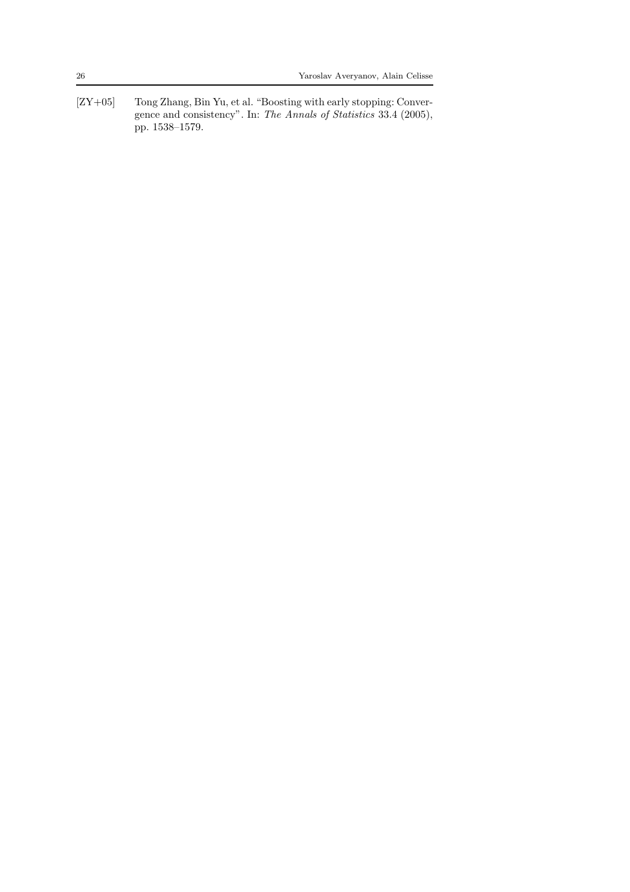<span id="page-25-0"></span>[ZY+05] Tong Zhang, Bin Yu, et al. "Boosting with early stopping: Convergence and consistency". In: *The Annals of Statistics* 33.4 (2005), pp. 1538–1579.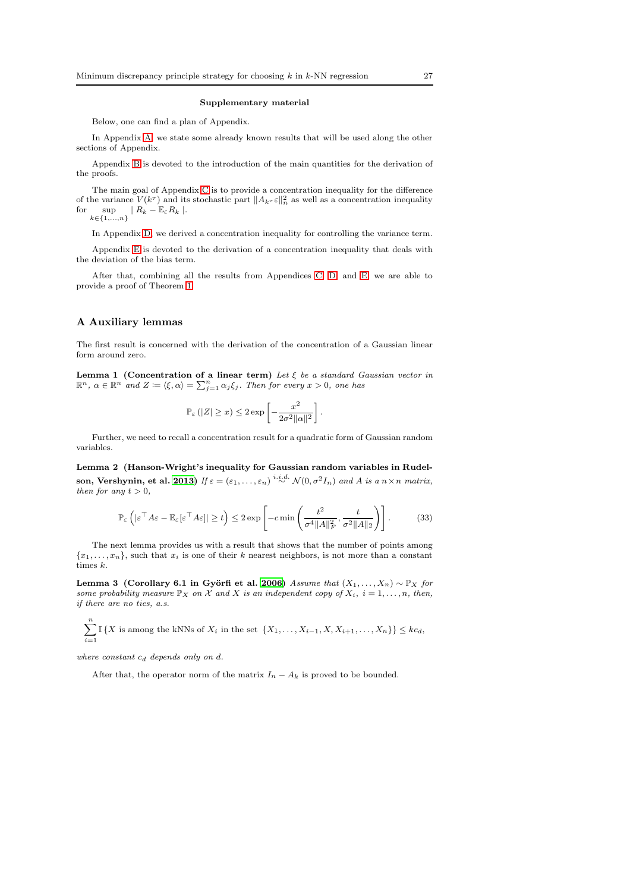#### Supplementary material

Below, one can find a plan of Appendix.

In Appendix [A,](#page-26-1) we state some already known results that will be used along the other sections of Appendix.

Appendix [B](#page-27-0) is devoted to the introduction of the main quantities for the derivation of the proofs.

The main goal of Appendix [C](#page-29-0) is to provide a concentration inequality for the difference of the variance  $V(k^{\tau})$  and its stochastic part  $||A_{k^{\tau}} \varepsilon||_n^2$  as well as a concentration inequality for  $\sup_{k \in \{1,...,n\}} | R_k - \mathbb{E}_{\varepsilon} R_k |$ .

In Appendix [D,](#page-31-0) we derived a concentration inequality for controlling the variance term.

Appendix [E](#page-32-1) is devoted to the derivation of a concentration inequality that deals with the deviation of the bias term.

After that, combining all the results from Appendices [C,](#page-29-0) [D,](#page-31-0) and [E,](#page-32-1) we are able to provide a proof of Theorem [1.](#page-9-3)

#### <span id="page-26-1"></span>A Auxiliary lemmas

<span id="page-26-3"></span>The first result is concerned with the derivation of the concentration of a Gaussian linear form around zero.

**Lemma 1** (Concentration of a linear term) Let  $\xi$  be a standard Gaussian vector in  $\mathbb{R}^n$ ,  $\alpha \in \mathbb{R}^n$  and  $Z \coloneqq \langle \xi, \alpha \rangle = \sum_{j=1}^n \alpha_j \xi_j$ . Then for every  $x > 0$ , one has

$$
\mathbb{P}_{\varepsilon}\left(|Z|\geq x\right)\leq 2\exp\left[-\frac{x^2}{2\sigma^2\|\alpha\|^2}\right].
$$

<span id="page-26-4"></span>Further, we need to recall a concentration result for a quadratic form of Gaussian random variables.

Lemma 2 (Hanson-Wright's inequality for Gaussian random variables in Rudel-son, Vershynin, et al. [2013](#page-24-16)) If  $\varepsilon = (\varepsilon_1, \ldots, \varepsilon_n) \stackrel{i.i.d.}{\sim} \mathcal{N}(0, \sigma^2 I_n)$  and A is a  $n \times n$  matrix, then for any  $t > 0$ ,

$$
\mathbb{P}_{\varepsilon}\left(|\varepsilon^{\top} A \varepsilon - \mathbb{E}_{\varepsilon}[\varepsilon^{\top} A \varepsilon]] \ge t\right) \le 2 \exp\left[-c \min\left(\frac{t^2}{\sigma^4 \|A\|_F^2}, \frac{t}{\sigma^2 \|A\|_2}\right)\right].
$$
 (33)

The next lemma provides us with a result that shows that the number of points among  ${x_1, \ldots, x_n}$ , such that  $x_i$  is one of their k nearest neighbors, is not more than a constant times k.

<span id="page-26-2"></span>Lemma 3 (Corollary 6.1 in Györfi et al. [2006\)](#page-23-0) Assume that  $(X_1, \ldots, X_n) \sim \mathbb{P}_X$  for some probability measure  $\mathbb{P}_X$  on X and X is an independent copy of  $X_i$ ,  $i = 1, ..., n$ , then, if there are no ties, a.s.

 $\sum_{n=1}^{\infty}$  $\sum_{i=1} \mathbb{I}\left\{X \text{ is among the kNNs of } X_i \text{ in the set } \left\{X_1,\ldots,X_{i-1},X,X_{i+1},\ldots,X_n\right\}\right\} \leq kc_d,$ 

where constant  $c_d$  depends only on  $d$ .

<span id="page-26-0"></span>After that, the operator norm of the matrix  $I_n - A_k$  is proved to be bounded.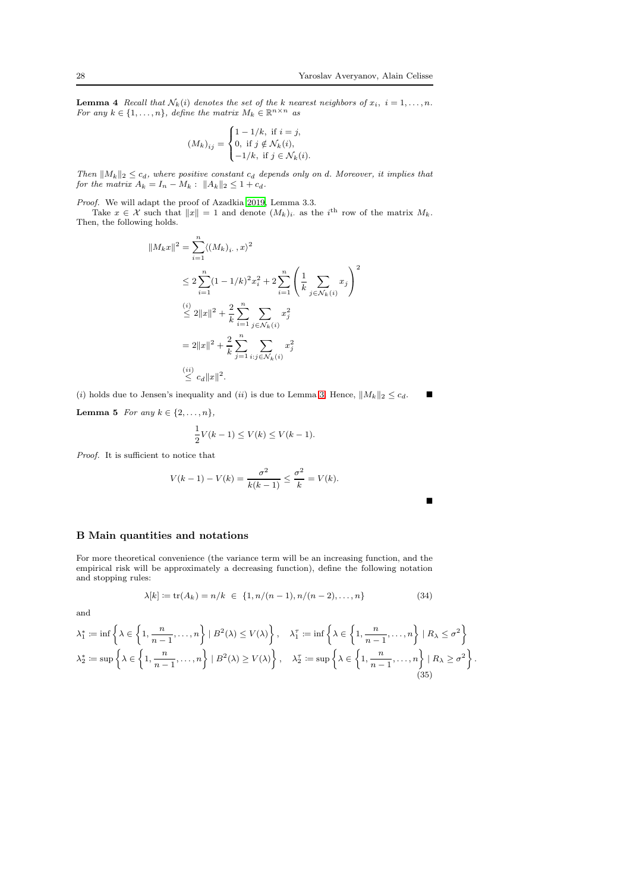**Lemma 4** Recall that  $N_k(i)$  denotes the set of the k nearest neighbors of  $x_i$ ,  $i = 1, ..., n$ .<br>For any  $k \in \{1, ..., n\}$ , define the matrix  $M_k \in \mathbb{R}^{n \times n}$  as

$$
(M_k)_{ij} = \begin{cases} 1 - 1/k, & \text{if } i = j, \\ 0, & \text{if } j \notin \mathcal{N}_k(i), \\ -1/k, & \text{if } j \in \mathcal{N}_k(i). \end{cases}
$$

Then  $||M_k||_2 \leq c_d$ , where positive constant  $c_d$  depends only on d. Moreover, it implies that for the matrix  $A_k = I_n - M_k$ :  $||A_k||_2 \leq 1 + c_d$ .

Proof. We will adapt the proof of Azadkia [2019](#page-21-1), Lemma 3.3.

Take  $x \in \mathcal{X}$  such that  $||x|| = 1$  and denote  $(M_k)_i$  as the i<sup>th</sup> row of the matrix  $M_k$ . Then, the following holds.

$$
||M_k x||^2 = \sum_{i=1}^n \langle (M_k)_i, x \rangle^2
$$
  
\n
$$
\leq 2 \sum_{i=1}^n (1 - 1/k)^2 x_i^2 + 2 \sum_{i=1}^n \left( \frac{1}{k} \sum_{j \in \mathcal{N}_k(i)} x_j \right)^2
$$
  
\n
$$
\leq 2||x||^2 + \frac{2}{k} \sum_{i=1}^n \sum_{j \in \mathcal{N}_k(i)} x_j^2
$$
  
\n
$$
= 2||x||^2 + \frac{2}{k} \sum_{j=1}^n \sum_{i:j \in \mathcal{N}_k(i)} x_j^2
$$
  
\n
$$
\leq c_d ||x||^2.
$$

(i) holds due to Jensen's inequality and (ii) is due to Lemma [3.](#page-26-2) Hence,  $||M_k||_2 \leq c_d$ .

<span id="page-27-3"></span>Lemma 5 For any  $k \in \{2, \ldots, n\},\$ 

$$
\frac{1}{2}V(k-1) \le V(k) \le V(k-1).
$$

Proof. It is sufficient to notice that

$$
V(k-1) - V(k) = \frac{\sigma^2}{k(k-1)} \le \frac{\sigma^2}{k} = V(k).
$$

<span id="page-27-2"></span>п

### <span id="page-27-0"></span>B Main quantities and notations

For more theoretical convenience (the variance term will be an increasing function, and the empirical risk will be approximately a decreasing function), define the following notation and stopping rules:

<span id="page-27-1"></span>
$$
\lambda[k] := \text{tr}(A_k) = n/k \in \{1, n/(n-1), n/(n-2), \dots, n\}
$$
\n(34)

and

$$
\lambda_1^* := \inf \left\{ \lambda \in \left\{ 1, \frac{n}{n-1}, \dots, n \right\} \mid B^2(\lambda) \le V(\lambda) \right\}, \quad \lambda_1^{\tau} := \inf \left\{ \lambda \in \left\{ 1, \frac{n}{n-1}, \dots, n \right\} \mid R_{\lambda} \le \sigma^2 \right\}
$$

$$
\lambda_2^* := \sup \left\{ \lambda \in \left\{ 1, \frac{n}{n-1}, \dots, n \right\} \mid B^2(\lambda) \ge V(\lambda) \right\}, \quad \lambda_2^{\tau} := \sup \left\{ \lambda \in \left\{ 1, \frac{n}{n-1}, \dots, n \right\} \mid R_{\lambda} \ge \sigma^2 \right\}.
$$

$$
(35)
$$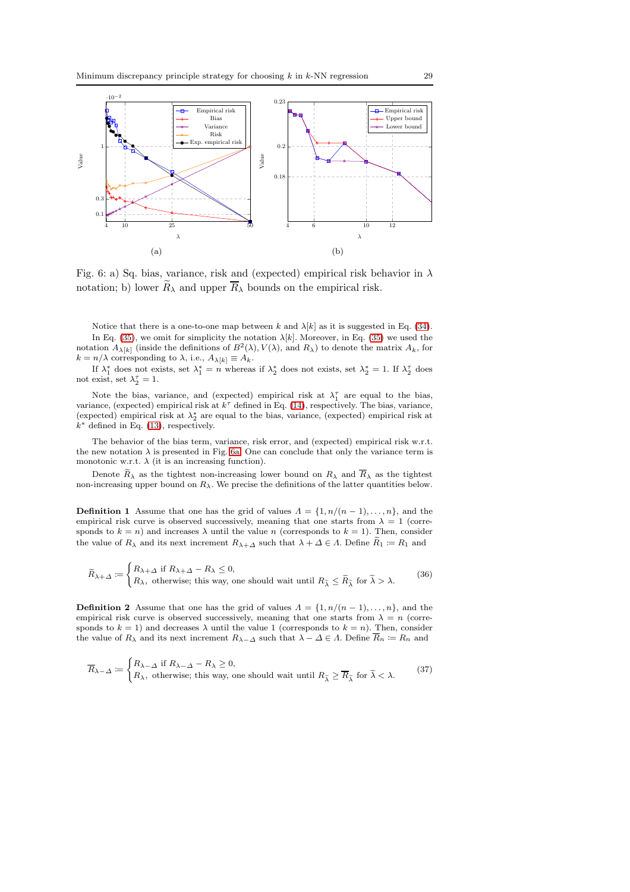<span id="page-28-0"></span>

Fig. 6: a) Sq. bias, variance, risk and (expected) empirical risk behavior in  $\lambda$ notation; b) lower  $\widetilde{R}_{\lambda}$  and upper  $\overline{R}_{\lambda}$  bounds on the empirical risk.

Notice that there is a one-to-one map between k and  $\lambda[k]$  as it is suggested in Eq. [\(34\)](#page-27-1). In Eq. [\(35\)](#page-27-2), we omit for simplicity the notation  $\lambda[k]$ . Moreover, in Eq. (35) we used the notation  $A_{\lambda[k]}$  (inside the definitions of  $B^2(\lambda)$ ,  $V(\lambda)$ , and  $R_\lambda$ ) to denote the matrix  $A_k$ , for  $k = n/\lambda$  corresponding to  $\lambda$ , i.e.,  $A_{\lambda[k]} \equiv A_k$ .

If  $\lambda_1^*$  does not exists, set  $\lambda_1^* = n$  whereas if  $\lambda_2^*$  does not exists, set  $\lambda_2^* = 1$ . If  $\lambda_2^{\tau}$  does not exist, set  $\lambda_2^{\tau} = 1$ .

Note the bias, variance, and (expected) empirical risk at  $\lambda_1^{\tau}$  are equal to the bias, variance, (expected) empirical risk at  $k^{\tau}$  defined in Eq. [\(14\)](#page-7-0), respectively. The bias, variance, (expected) empirical risk at  $\lambda_2^*$  are equal to the bias, variance, (expected) empirical risk at  $k^*$  defined in Eq. [\(13\)](#page-7-1), respectively.

The behavior of the bias term, variance, risk error, and (expected) empirical risk w.r.t. the new notation  $\lambda$  is presented in Fig. [6a.](#page-28-0) One can conclude that only the variance term is monotonic w.r.t.  $\lambda$  (it is an increasing function).

Denote  $\widetilde{R}_{\lambda}$  as the tightest non-increasing lower bound on  $R_{\lambda}$  and  $\overline{R}_{\lambda}$  as the tightest non-increasing upper bound on  $R_{\lambda}$ . We precise the definitions of the latter quantities below.

**Definition 1** Assume that one has the grid of values  $\Lambda = \{1, n/(n-1), \ldots, n\}$ , and the empirical risk curve is observed successively, meaning that one starts from  $\lambda = 1$  (corresponds to  $k = n$ ) and increases  $\lambda$  until the value n (corresponds to  $k = 1$ ). Then, consider the value of  $R_{\lambda}$  and its next increment  $R_{\lambda+\Delta}$  such that  $\lambda+\Delta\in\Lambda$ . Define  $\widetilde{R}_1\coloneqq R_1$  and

$$
\widetilde{R}_{\lambda+\varDelta} \coloneqq \begin{cases} R_{\lambda+\varDelta} \text{ if } R_{\lambda+\varDelta} - R_{\lambda} \leq 0, \\ R_{\lambda}, \text{ otherwise; this way, one should wait until } R_{\widetilde{\lambda}} \leq \widetilde{R}_{\widetilde{\lambda}} \text{ for } \widetilde{\lambda} > \lambda. \end{cases} \tag{36}
$$

**Definition 2** Assume that one has the grid of values  $\Lambda = \{1, n/(n-1), \ldots, n\}$ , and the empirical risk curve is observed successively, meaning that one starts from  $\lambda = n$  (corresponds to  $k = 1$ ) and decreases  $\lambda$  until the value 1 (corresponds to  $k = n$ ). Then, consider the value of  $R_\lambda$  and its next increment  $R_{\lambda-\Delta}$  such that  $\lambda-\Delta\in\Lambda$ . Define  $\overline{R}_n\coloneqq R_n$  and

$$
\overline{R}_{\lambda-\Delta} \coloneqq \begin{cases} R_{\lambda-\Delta} \text{ if } R_{\lambda-\Delta} - R_{\lambda} \ge 0, \\ R_{\lambda}, \text{ otherwise; this way, one should wait until } R_{\widetilde{\lambda}} \ge \overline{R}_{\widetilde{\lambda}} \text{ for } \widetilde{\lambda} < \lambda. \end{cases}
$$
(37)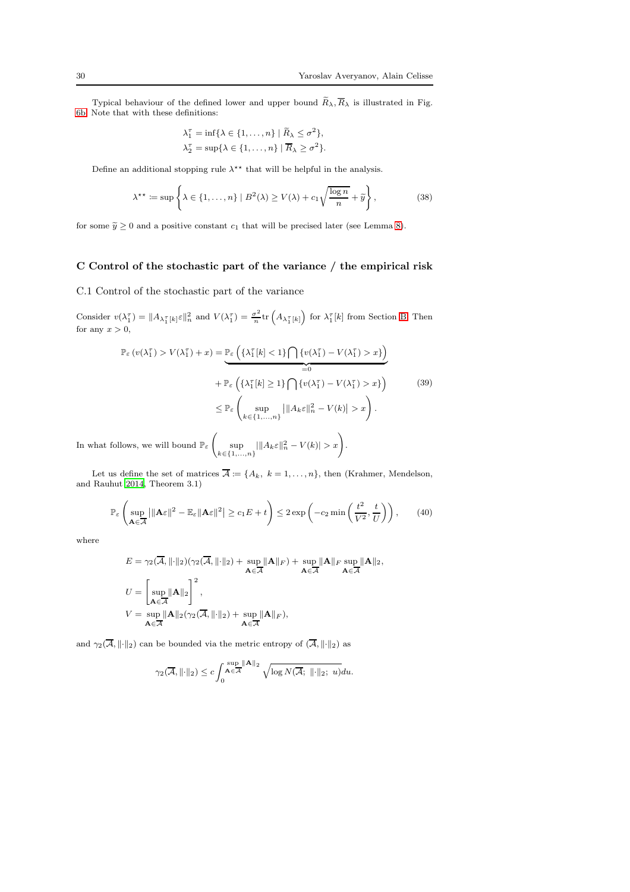Typical behaviour of the defined lower and upper bound  $\widetilde{R}_{\lambda}, \overline{R}_{\lambda}$  is illustrated in Fig. [6b.](#page-28-0) Note that with these definitions:

$$
\lambda_1^{\tau} = \inf \{ \lambda \in \{1, \dots, n\} \mid \widetilde{R}_{\lambda} \le \sigma^2 \},
$$
  

$$
\lambda_2^{\tau} = \sup \{ \lambda \in \{1, \dots, n\} \mid \overline{R}_{\lambda} \ge \sigma^2 \}.
$$

Define an additional stopping rule  $\lambda^{\star\star}$  that will be helpful in the analysis.

<span id="page-29-2"></span>
$$
\lambda^{**} := \sup \left\{ \lambda \in \{1, \dots, n\} \mid B^2(\lambda) \ge V(\lambda) + c_1 \sqrt{\frac{\log n}{n}} + \tilde{y} \right\},\tag{38}
$$

for some  $\tilde{y} \ge 0$  and a positive constant  $c_1$  that will be precised later (see Lemma [8\)](#page-34-0).

# <span id="page-29-0"></span>C Control of the stochastic part of the variance / the empirical risk

C.1 Control of the stochastic part of the variance

Consider  $v(\lambda_1^{\tau}) = ||A_{\lambda_1^{\tau}}[k] \varepsilon ||_n^2$  and  $V(\lambda_1^{\tau}) = \frac{\sigma^2}{n}$  $\frac{\sigma^2}{n}$ tr  $(A_{\lambda_1^T[k]})$  for  $\lambda_1^T[k]$  from Section [B.](#page-27-0) Then for any  $x > 0$ ,

<span id="page-29-1"></span>
$$
\mathbb{P}_{\varepsilon} \left( v(\lambda_1^{\tau}) > V(\lambda_1^{\tau}) + x \right) = \underbrace{\mathbb{P}_{\varepsilon} \left( \{ \lambda_1^{\tau} [k] < 1 \} \bigcap \{ v(\lambda_1^{\tau}) - V(\lambda_1^{\tau}) > x \} \right)}_{=0}
$$
\n
$$
+ \mathbb{P}_{\varepsilon} \left( \{ \lambda_1^{\tau} [k] \ge 1 \} \bigcap \{ v(\lambda_1^{\tau}) - V(\lambda_1^{\tau}) > x \} \right)
$$
\n
$$
\le \mathbb{P}_{\varepsilon} \left( \sup_{k \in \{1, \dots, n\}} \left| \| A_k \varepsilon \|_n^2 - V(k) \| > x \right. \right).
$$
\n(39)

In what follows, we will bound  $\mathbb{P}_{\varepsilon}$   $\Big($  $\sup_{k \in \{1,...,n\}} |||A_k \varepsilon||_n^2 - V(k)| > x$ .

Let us define the set of matrices  $\overline{\mathcal{A}} := \{A_k, k = 1, \ldots, n\}$ , then (Krahmer, Mendelson, and Rauhut [2014,](#page-23-15) Theorem 3.1)

$$
\mathbb{P}_{\varepsilon}\left(\sup_{\mathbf{A}\in\overline{\mathcal{A}}} \left|\|\mathbf{A}\varepsilon\right\|^2 - \mathbb{E}_{\varepsilon}\|\mathbf{A}\varepsilon\|^2\right| \geq c_1 E + t\right) \leq 2\exp\left(-c_2\min\left(\frac{t^2}{V^2}, \frac{t}{U}\right)\right),\tag{40}
$$

where

$$
E = \gamma_2(\overline{A}, \|\cdot\|_2)(\gamma_2(\overline{A}, \|\cdot\|_2) + \sup_{\mathbf{A}\in\overline{A}} \|\mathbf{A}\|_F) + \sup_{\mathbf{A}\in\overline{A}} \|\mathbf{A}\|_F \sup_{\mathbf{A}\in\overline{A}} \|\mathbf{A}\|_2,
$$
  
\n
$$
U = \left[\sup_{\mathbf{A}\in\overline{A}} \|\mathbf{A}\|_2\right]^2,
$$
  
\n
$$
V = \sup_{\mathbf{A}\in\overline{A}} \|\mathbf{A}\|_2(\gamma_2(\overline{A}, \|\cdot\|_2) + \sup_{\mathbf{A}\in\overline{A}} \|\mathbf{A}\|_F),
$$

and  $\gamma_2(\overline{\mathcal{A}}, \|\cdot\|_2)$  can be bounded via the metric entropy of  $(\overline{\mathcal{A}}, \|\cdot\|_2)$  as

$$
\gamma_2(\overline{\mathcal{A}}, \|\cdot\|_2) \le c \int_0^{\sup_{\mathbf{A}\in\overline{\mathcal{A}}}\|\mathbf{A}\|_2} \sqrt{\log N(\overline{\mathcal{A}}; \|\cdot\|_2; \ u)} du.
$$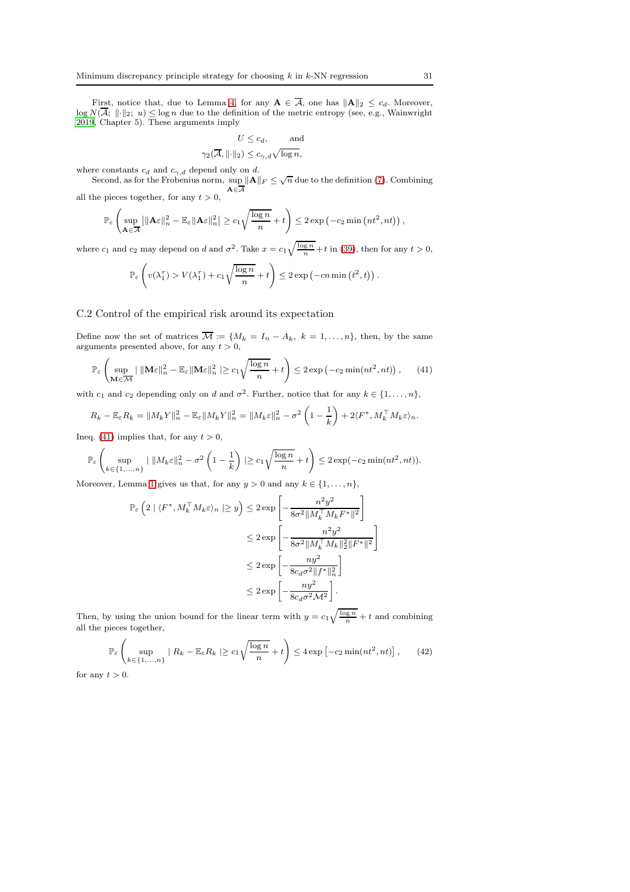First, notice that, due to Lemma [4,](#page-26-0) for any  $A \in \mathcal{A}$ , one has  $||A||_2 \leq c_d$ . Moreover,  $\log N(\mathcal{A}; ||\cdot||_2; u) \leq \log n$  due to the definition of the metric entropy (see, e.g., Wainwright [2019,](#page-24-6) Chapter 5). These arguments imply

$$
U \le c_d, \quad \text{and}
$$

$$
\gamma_2(\overline{\mathcal{A}}, \|\cdot\|_2) \le c_{\gamma, d} \sqrt{\log n},
$$

where constants  $c_d$  and  $c_{\gamma,d}$  depend only on d.

Second, as for the Frobenius norm,  $\sup_{n=1}^{\infty} ||A||_F \leq \sqrt{n}$  due to the definition [\(7\)](#page-4-4). Combining  $A \in \overline{A}$ all the pieces together, for any  $t > 0$ ,

$$
\mathbb{P}_{\varepsilon}\left(\sup_{\mathbf{A}\in\overline{\mathcal{A}}} \left|\|\mathbf{A}\varepsilon\|_{n}^{2}-\mathbb{E}_{\varepsilon}\|\mathbf{A}\varepsilon\|_{n}^{2}\right|\geq c_{1}\sqrt{\frac{\log n}{n}}+t\right)\leq 2\exp\left(-c_{2}\min\left(nt^{2},nt\right)\right),
$$

where  $c_1$  and  $c_2$  may depend on d and  $\sigma^2$ . Take  $x = c_1 \sqrt{\frac{\log n}{n}} + t$  in [\(39\)](#page-29-1), then for any  $t > 0$ ,

$$
\mathbb{P}_{\varepsilon}\left(v(\lambda_1^{\tau}) > V(\lambda_1^{\tau}) + c_1 \sqrt{\frac{\log n}{n}} + t\right) \leq 2 \exp\left(-cn \min\left(t^2, t\right)\right).
$$

### C.2 Control of the empirical risk around its expectation

Define now the set of matrices  $\mathcal{M} := \{M_k = I_n - A_k, k = 1, ..., n\}$ , then, by the same arguments presented above, for any  $t > 0$ ,

<span id="page-30-0"></span>
$$
\mathbb{P}_{\varepsilon}\left(\sup_{\mathbf{M}\in\overline{\mathcal{M}}}|\|\mathbf{M}\varepsilon\|_{n}^{2}-\mathbb{E}_{\varepsilon}\|\mathbf{M}\varepsilon\|_{n}^{2}\geq c_{1}\sqrt{\frac{\log n}{n}}+t\right)\leq 2\exp\left(-c_{2}\min(nt^{2},nt)\right),\qquad(41)
$$

with  $c_1$  and  $c_2$  depending only on d and  $\sigma^2$ . Further, notice that for any  $k \in \{1, ..., n\}$ ,

$$
R_k - \mathbb{E}_{\varepsilon} R_k = \|M_k Y\|_n^2 - \mathbb{E}_{\varepsilon} \|M_k Y\|_n^2 = \|M_k \varepsilon\|_n^2 - \sigma^2 \left(1 - \frac{1}{k}\right) + 2 \langle F^*, M_k^\top M_k \varepsilon \rangle_n.
$$

Ineq. [\(41\)](#page-30-0) implies that, for any  $t > 0$ ,

$$
\mathbb{P}_{\varepsilon}\left(\sup_{k\in\{1,\ldots,n\}}\left|\ \|M_{k}\varepsilon\|_{n}^{2}-\sigma^{2}\left(1-\frac{1}{k}\right)\right|\geq c_{1}\sqrt{\frac{\log n}{n}}+t\right)\leq 2\exp(-c_{2}\min(nt^{2},nt)).
$$

Moreover, Lemma [1](#page-26-3) gives us that, for any  $y > 0$  and any  $k \in \{1, \ldots, n\}$ ,

$$
\mathbb{P}_{\varepsilon}\left(2 \mid \langle F^*, M_k^\top M_k \varepsilon \rangle_n \mid \geq y\right) \leq 2 \exp\left[-\frac{n^2 y^2}{8\sigma^2 \|M_k^\top M_k F^*\|^2}\right] \\
\leq 2 \exp\left[-\frac{n^2 y^2}{8\sigma^2 \|M_k^\top M_k\|_2^2 \|F^*\|^2}\right] \\
\leq 2 \exp\left[-\frac{ny^2}{8c_d \sigma^2 \|f^*\|_n^2}\right] \\
\leq 2 \exp\left[-\frac{ny^2}{8c_d \sigma^2 M^2}\right].
$$

Then, by using the union bound for the linear term with  $y = c_1 \sqrt{\frac{\log n}{n}} + t$  and combining all the pieces together,

<span id="page-30-1"></span>
$$
\mathbb{P}_{\varepsilon}\left(\sup_{k\in\{1,\ldots,n\}}\mid R_k - \mathbb{E}_{\varepsilon}R_k\mid\geq c_1\sqrt{\frac{\log n}{n}} + t\right) \leq 4\exp\left[-c_2\min(nt^2, nt)\right],\qquad(42)
$$

for any  $t > 0$ .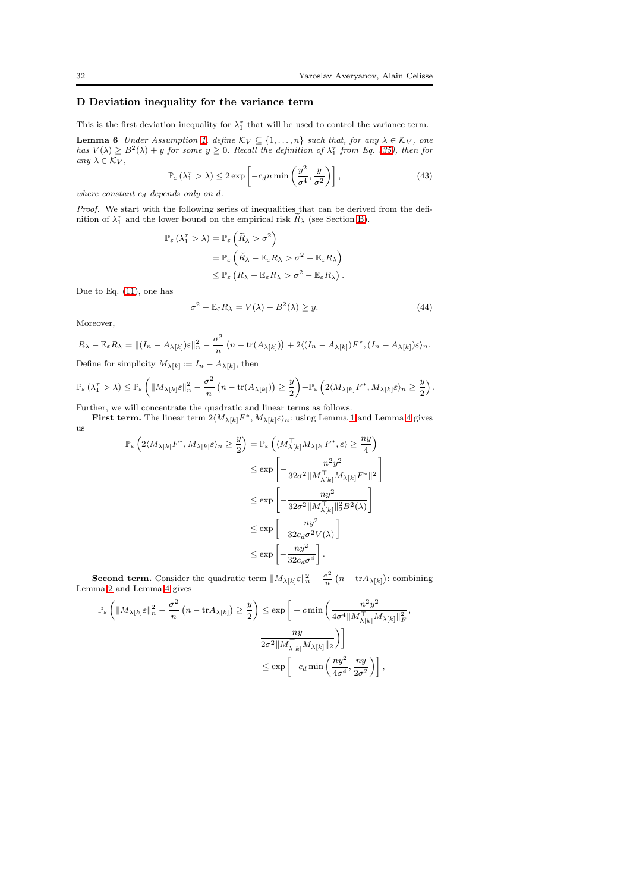,

# <span id="page-31-0"></span>D Deviation inequality for the variance term

<span id="page-31-1"></span>This is the first deviation inequality for  $\lambda_1^{\tau}$  that will be used to control the variance term.

**Lemma 6** Under Assumption [1,](#page-3-0) define  $K_V \subseteq \{1, ..., n\}$  such that, for any  $\lambda \in K_V$ , one has  $V(\lambda) \ge B^2(\lambda) + y$  for some  $y \ge 0$ . Recall the definition of  $\lambda_1^{\tau}$  from Eq. [\(35\)](#page-27-2), then for any  $\lambda \in \mathcal{K}_V$ ,

$$
\mathbb{P}_{\varepsilon} \left( \lambda_1^{\tau} > \lambda \right) \le 2 \exp \left[ -c_d n \min \left( \frac{y^2}{\sigma^4}, \frac{y}{\sigma^2} \right) \right],\tag{43}
$$

where constant  $c_d$  depends only on  $d$ .

Proof. We start with the following series of inequalities that can be derived from the definition of  $\lambda_1^{\tau}$  and the lower bound on the empirical risk  $\widetilde{R}_{\lambda}$  (see Section [B\)](#page-27-0).

$$
\mathbb{P}_{\varepsilon} (\lambda_1^{\tau} > \lambda) = \mathbb{P}_{\varepsilon} \left( \widetilde{R}_{\lambda} > \sigma^2 \right)
$$
  
= 
$$
\mathbb{P}_{\varepsilon} \left( \widetilde{R}_{\lambda} - \mathbb{E}_{\varepsilon} R_{\lambda} > \sigma^2 - \mathbb{E}_{\varepsilon} R_{\lambda} \right)
$$
  

$$
\leq \mathbb{P}_{\varepsilon} \left( R_{\lambda} - \mathbb{E}_{\varepsilon} R_{\lambda} > \sigma^2 - \mathbb{E}_{\varepsilon} R_{\lambda} \right).
$$

Due to Eq. [\(11\)](#page-5-1), one has

$$
\sigma^2 - \mathbb{E}_{\varepsilon} R_{\lambda} = V(\lambda) - B^2(\lambda) \ge y. \tag{44}
$$

Moreover,

$$
R_{\lambda} - \mathbb{E}_{\varepsilon} R_{\lambda} = || (I_n - A_{\lambda[k]}) \varepsilon ||_n^2 - \frac{\sigma^2}{n} \left( n - \text{tr}(A_{\lambda[k]}) \right) + 2 \langle (I_n - A_{\lambda[k]}) F^*, (I_n - A_{\lambda[k]}) \varepsilon \rangle_n.
$$

Define for simplicity  $M_{\lambda[k]} \coloneqq I_n - A_{\lambda[k]}$ , then

$$
\mathbb{P}_{\varepsilon}\left(\lambda_1^{\tau} > \lambda\right) \leq \mathbb{P}_{\varepsilon}\left(\|M_{\lambda[k]}\varepsilon\|_n^2 - \frac{\sigma^2}{n}\left(n - \text{tr}(A_{\lambda[k]})\right) \geq \frac{y}{2}\right) + \mathbb{P}_{\varepsilon}\left(2\langle M_{\lambda[k]}F^*, M_{\lambda[k]}\varepsilon\rangle_n \geq \frac{y}{2}\right).
$$

Further, we will concentrate the quadratic and linear terms as follows.

First term. The linear term  $2\langle M_{\lambda[k]}F^*, M_{\lambda[k]}\varepsilon\rangle_n$ : using Lemma [1](#page-26-3) and Lemma [4](#page-26-0) gives us

$$
\begin{split} \mathbb{P}_{\varepsilon}\left(2\langle M_{\lambda[k]}F^*,M_{\lambda[k]} \varepsilon\rangle_n &\geq \frac{y}{2}\right) &= \mathbb{P}_{\varepsilon}\left(\langle M_{\lambda[k]}^\top M_{\lambda[k]}F^*,\varepsilon\rangle \geq \frac{ny}{4}\right) \\ &\leq \exp\left[-\frac{n^2y^2}{32\sigma^2\|M_{\lambda[k]}^\top M_{\lambda[k]}F^*\|^2}\right] \\ &\leq \exp\left[-\frac{ny^2}{32\sigma^2\|M_{\lambda[k]}^\top\|^2_2B^2(\lambda)}\right] \\ &\leq \exp\left[-\frac{ny^2}{32c_d\sigma^2V(\lambda)}\right] \\ &\leq \exp\left[-\frac{ny^2}{32c_d\sigma^4}\right]. \end{split}
$$

**Second term.** Consider the quadratic term  $||M_{\lambda[k]}\varepsilon||_n^2 - \frac{\sigma^2}{n}$  $\frac{\sigma^2}{n}$   $(n - \text{tr} A_{\lambda[k]})$ : combining Lemma [2](#page-26-4) and Lemma [4](#page-26-0) gives

$$
\begin{aligned} \mathbb{P}_{\varepsilon}\left(\|M_{\lambda[k]} \varepsilon\|_n^2 - \frac{\sigma^2}{n}\left(n - \mathrm{tr} A_{\lambda[k]}\right) &\geq \frac{y}{2}\right) &\leq \exp\bigg[-c\min\left(\frac{n^2y^2}{4\sigma^4\|M_{\lambda[k]}^\top M_{\lambda[k]}\|_F^2}\right.\\ &\left.\frac{ny}{2\sigma^2\|M_{\lambda[k]}^\top\|M_{\lambda[k]}\|_2}\right)\bigg]\\ &\leq \exp\bigg[-c_d\min\left(\frac{ny^2}{4\sigma^4},\frac{ny}{2\sigma^2}\right)\bigg]\,, \end{aligned}
$$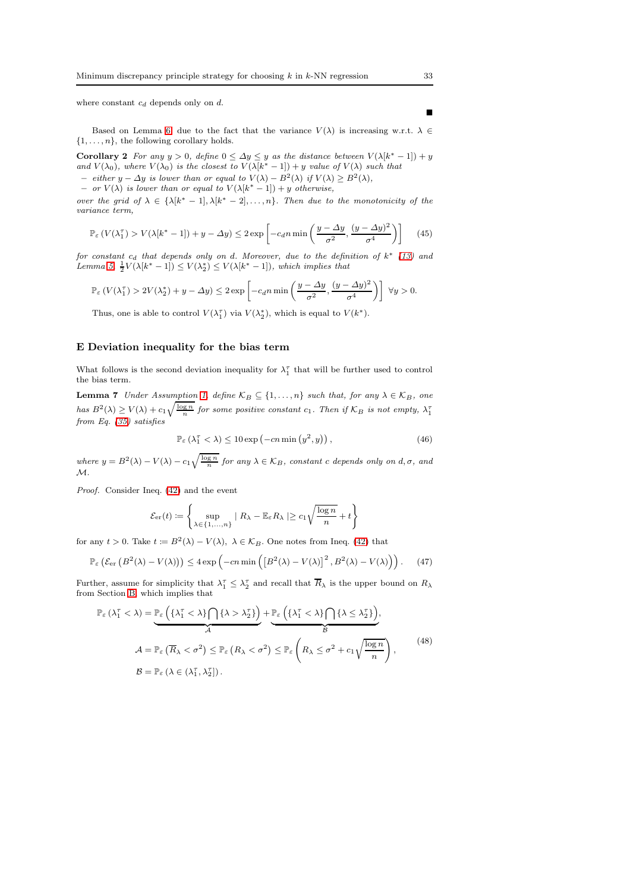where constant  $c_d$  depends only on  $d$ .

Based on Lemma [6,](#page-31-1) due to the fact that the variance  $V(\lambda)$  is increasing w.r.t.  $\lambda \in$  $\{1, \ldots, n\}$ , the following corollary holds.

<span id="page-32-0"></span>**Corollary 2** For any  $y > 0$ , define  $0 \leq \Delta y \leq y$  as the distance between  $V(\lambda[k^* - 1]) + y$ and  $V(\lambda_0)$ , where  $V(\lambda_0)$  is the closest to  $V(\lambda[k^*-1]) + y$  value of  $V(\lambda)$  such that

 $-$  either y −  $\Delta$ y is lower than or equal to  $V(\lambda) - B^2(\lambda)$  if  $V(\lambda) \ge B^2(\lambda)$ ,  $-$  or  $V(\lambda)$  is lower than or equal to  $V(\lambda[k^*-1]) + y$  otherwise,

over the grid of  $\lambda \in {\{\lambda[k^*-1], \lambda[k^*-2], \ldots, n\}}$ . Then due to the monotonicity of the variance term,

$$
\mathbb{P}_{\varepsilon} \left( V(\lambda_1^{\tau}) > V(\lambda[k^* - 1]) + y - \Delta y \right) \le 2 \exp \left[ -c_d n \min \left( \frac{y - \Delta y}{\sigma^2}, \frac{(y - \Delta y)^2}{\sigma^4} \right) \right] \tag{45}
$$

for constant  $c_d$  that depends only on d. Moreover, due to the definition of  $k^*$  [\(13\)](#page-7-1) and Lemma [5,](#page-27-3)  $\frac{1}{2}V(\lambda[k^*-1]) \leq V(\lambda_2^*) \leq V(\lambda[k^*-1]),$  which implies that

$$
\mathbb{P}_{\varepsilon}\left(V(\lambda_1^{\tau}) > 2V(\lambda_2^*) + y - \Delta y\right) \leq 2 \exp\left[-c_d n \min\left(\frac{y - \Delta y}{\sigma^2}, \frac{(y - \Delta y)^2}{\sigma^4}\right)\right] \ \forall y > 0.
$$

Thus, one is able to control  $V(\lambda_1^{\tau})$  via  $V(\lambda_2^*)$ , which is equal to  $V(k^*)$ .

#### <span id="page-32-1"></span>E Deviation inequality for the bias term

<span id="page-32-4"></span>What follows is the second deviation inequality for  $\lambda_1^{\tau}$  that will be further used to control the bias term.

**Lemma 7** Under Assumption [1,](#page-3-0) define  $\mathcal{K}_B \subseteq \{1, \ldots, n\}$  such that, for any  $\lambda \in \mathcal{K}_B$ , one has  $B^2(\lambda) \ge V(\lambda) + c_1 \sqrt{\frac{\log n}{n}}$  for some positive constant  $c_1$ . Then if  $\mathcal{K}_B$  is not empty,  $\lambda_1^{\tau}$ from Eq. [\(35\)](#page-27-2) satisfies

$$
\mathbb{P}_{\varepsilon} \left( \lambda_1^{\tau} < \lambda \right) \le 10 \exp \left( -cn \min \left( y^2, y \right) \right),\tag{46}
$$

where  $y = B^2(\lambda) - V(\lambda) - c_1 \sqrt{\frac{\log n}{n}}$  for any  $\lambda \in \mathcal{K}_B$ , constant c depends only on  $d, \sigma$ , and  $\mathcal{M}.$ 

Proof. Consider Ineq. [\(42\)](#page-30-1) and the event

<span id="page-32-2"></span>
$$
\mathcal{E}_{\text{er}}(t) \coloneqq \left\{ \sup_{\lambda \in \{1, ..., n\}} | R_{\lambda} - \mathbb{E}_{\varepsilon} R_{\lambda} | \geq c_1 \sqrt{\frac{\log n}{n}} + t \right\}
$$

for any  $t > 0$ . Take  $t := B^2(\lambda) - V(\lambda)$ ,  $\lambda \in \mathcal{K}_B$ . One notes from Ineq. [\(42\)](#page-30-1) that

<span id="page-32-3"></span>
$$
\mathbb{P}_{\varepsilon}\left(\mathcal{E}_{\text{er}}\left(B^{2}(\lambda)-V(\lambda)\right)\right) \leq 4 \exp\left(-cn \min\left(\left[B^{2}(\lambda)-V(\lambda)\right]^{2}, B^{2}(\lambda)-V(\lambda)\right)\right). \tag{47}
$$

Further, assume for simplicity that  $\lambda_1^{\tau} \leq \lambda_2^{\tau}$  and recall that  $\overline{R}_{\lambda}$  is the upper bound on  $R_{\lambda}$ from Section [B,](#page-27-0) which implies that

$$
\mathbb{P}_{\varepsilon} \left( \lambda_1^{\tau} < \lambda \right) = \underbrace{\mathbb{P}_{\varepsilon} \left( \{ \lambda_1^{\tau} < \lambda \} \cap \{ \lambda > \lambda_2^{\tau} \} \right)}_{\mathcal{A}} + \underbrace{\mathbb{P}_{\varepsilon} \left( \{ \lambda_1^{\tau} < \lambda \} \cap \{ \lambda \le \lambda_2^{\tau} \} \right)}_{\mathcal{B}},
$$
\n
$$
\mathcal{A} = \mathbb{P}_{\varepsilon} \left( \overline{R}_{\lambda} < \sigma^2 \right) \le \mathbb{P}_{\varepsilon} \left( R_{\lambda} < \sigma^2 \right) \le \mathbb{P}_{\varepsilon} \left( R_{\lambda} \le \sigma^2 + c_1 \sqrt{\frac{\log n}{n}} \right),
$$
\n
$$
\mathcal{B} = \mathbb{P}_{\varepsilon} \left( \lambda \in (\lambda_1^{\tau}, \lambda_2^{\tau}]\right).
$$
\n
$$
(48)
$$

 $\blacksquare$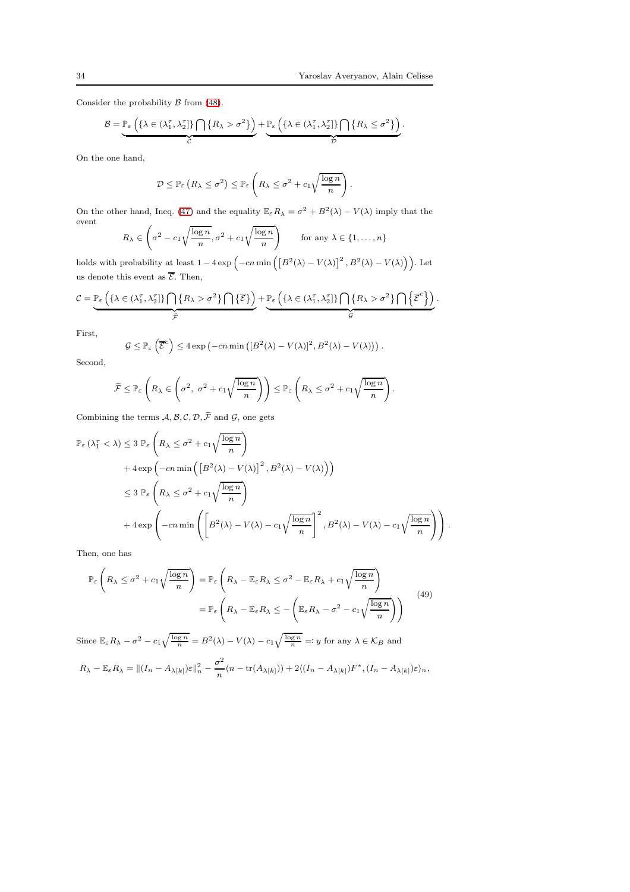Consider the probability  $\beta$  from [\(48\)](#page-32-2).

$$
\mathcal{B} = \underbrace{\mathbb{P}_{\varepsilon} \left( \{ \lambda \in (\lambda_1^{\tau}, \lambda_2^{\tau}] \} \bigcap \{ R_{\lambda} > \sigma^2 \} \right)}_{\mathcal{C}} + \underbrace{\mathbb{P}_{\varepsilon} \left( \{ \lambda \in (\lambda_1^{\tau}, \lambda_2^{\tau}] \} \bigcap \{ R_{\lambda} \leq \sigma^2 \} \right)}_{\mathcal{D}}.
$$

On the one hand,

$$
\mathcal{D} \leq \mathbb{P}_{\varepsilon} \left( R_{\lambda} \leq \sigma^2 \right) \leq \mathbb{P}_{\varepsilon} \left( R_{\lambda} \leq \sigma^2 + c_1 \sqrt{\frac{\log n}{n}} \right).
$$

On the other hand, Ineq. [\(47\)](#page-32-3) and the equality  $\mathbb{E}_{\varepsilon}R_{\lambda} = \sigma^2 + B^2(\lambda) - V(\lambda)$  imply that the event  $\overline{ }$ !

$$
R_{\lambda} \in \left(\sigma^2 - c_1 \sqrt{\frac{\log n}{n}}, \sigma^2 + c_1 \sqrt{\frac{\log n}{n}}\right) \quad \text{for any } \lambda \in \{1, \dots, n\}
$$

holds with probability at least  $1 - 4 \exp \left(-cn \min \left( \left[ B^2(\lambda) - V(\lambda) \right]^2, B^2(\lambda) - V(\lambda) \right) \right)$ . Let us denote this event as  $\overline{\mathcal{E}}$ . Then,

$$
\mathcal{C} = \underbrace{\mathbb{P}_{\varepsilon} \left( \{\lambda \in (\lambda_1^{\tau}, \lambda_2^{\tau}] \} \bigcap \{R_{\lambda} > \sigma^2\} \bigcap \{\overline{\mathcal{E}}\} \right)}_{\widetilde{\mathcal{F}}} + \underbrace{\mathbb{P}_{\varepsilon} \left( \{\lambda \in (\lambda_1^{\tau}, \lambda_2^{\tau}] \} \bigcap \{R_{\lambda} > \sigma^2\} \bigcap \left\{ \overline{\mathcal{E}}^c \right\} \right)}_{\mathcal{G}}.
$$

First,

$$
\mathcal{G} \leq \mathbb{P}_{\varepsilon}\left(\overline{\mathcal{E}}^c\right) \leq 4 \exp\left(-cn \min\left(\left[B^2(\lambda) - V(\lambda)\right]^2, B^2(\lambda) - V(\lambda)\right)\right).
$$

Second,

$$
\widetilde{\mathcal{F}} \leq \mathbb{P}_{\varepsilon} \left( R_{\lambda} \in \left( \sigma^2, \ \sigma^2 + c_1 \sqrt{\frac{\log n}{n}} \right) \right) \leq \mathbb{P}_{\varepsilon} \left( R_{\lambda} \leq \sigma^2 + c_1 \sqrt{\frac{\log n}{n}} \right).
$$

Combining the terms  $\mathcal{A}, \mathcal{B}, \mathcal{C}, \mathcal{D}, \widetilde{\mathcal{F}}$  and  $\mathcal{G}$ , one gets

$$
\mathbb{P}_{\varepsilon} (\lambda_1^{\tau} < \lambda) \leq 3 \mathbb{P}_{\varepsilon} \left( R_{\lambda} \leq \sigma^2 + c_1 \sqrt{\frac{\log n}{n}} \right)
$$
  
+  $4 \exp \left( -cn \min \left( \left[ B^2(\lambda) - V(\lambda) \right]^2, B^2(\lambda) - V(\lambda) \right) \right)$   
 $\leq 3 \mathbb{P}_{\varepsilon} \left( R_{\lambda} \leq \sigma^2 + c_1 \sqrt{\frac{\log n}{n}} \right)$   
+  $4 \exp \left( -cn \min \left( \left[ B^2(\lambda) - V(\lambda) - c_1 \sqrt{\frac{\log n}{n}} \right]^2, B^2(\lambda) - V(\lambda) - c_1 \sqrt{\frac{\log n}{n}} \right) \right).$ 

Then, one has

$$
\mathbb{P}_{\varepsilon}\left(R_{\lambda} \leq \sigma^{2} + c_{1}\sqrt{\frac{\log n}{n}}\right) = \mathbb{P}_{\varepsilon}\left(R_{\lambda} - \mathbb{E}_{\varepsilon}R_{\lambda} \leq \sigma^{2} - \mathbb{E}_{\varepsilon}R_{\lambda} + c_{1}\sqrt{\frac{\log n}{n}}\right)
$$
\n
$$
= \mathbb{P}_{\varepsilon}\left(R_{\lambda} - \mathbb{E}_{\varepsilon}R_{\lambda} \leq -\left(\mathbb{E}_{\varepsilon}R_{\lambda} - \sigma^{2} - c_{1}\sqrt{\frac{\log n}{n}}\right)\right)
$$
\n(49)

Since  $\mathbb{E}_{\varepsilon}R_{\lambda} - \sigma^2 - c_1\sqrt{\frac{\log n}{n}} = B^2(\lambda) - V(\lambda) - c_1\sqrt{\frac{\log n}{n}} =: y$  for any  $\lambda \in \mathcal{K}_B$  and

$$
R_{\lambda} - \mathbb{E}_{\varepsilon} R_{\lambda} = || (I_n - A_{\lambda[k]}) \varepsilon ||_n^2 - \frac{\sigma^2}{n} (n - \text{tr}(A_{\lambda[k]})) + 2\langle (I_n - A_{\lambda[k]}) F^*, (I_n - A_{\lambda[k]}) \varepsilon \rangle_n,
$$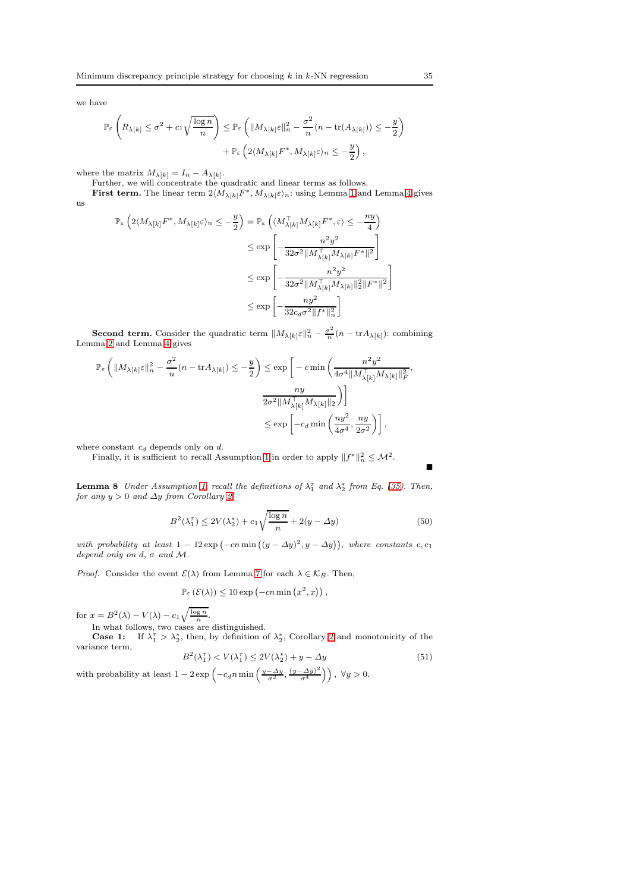we have

$$
\begin{split} \mathbb{P}_{\varepsilon}\left(R_{\lambda[k]} \leq \sigma^2 + c_1\sqrt{\frac{\log n}{n}}\right) &\leq \mathbb{P}_{\varepsilon}\left(\|M_{\lambda[k]}\varepsilon\|_n^2 - \frac{\sigma^2}{n}(n - \text{tr}(A_{\lambda[k]})) \leq -\frac{y}{2}\right) \\ &+ \mathbb{P}_{\varepsilon}\left(2\langle M_{\lambda[k]}F^*, M_{\lambda[k]}\varepsilon\rangle_n \leq -\frac{y}{2}\right), \end{split}
$$

where the matrix  $M_{\lambda[k]} = I_n - A_{\lambda[k]}$ .

Further, we will concentrate the quadratic and linear terms as follows.

First term. The linear term  $2\langle M_{\lambda[k]}F^*,M_{\lambda[k]}\varepsilon\rangle_n$ : using Lemma [1](#page-26-3) and Lemma [4](#page-26-0) gives us

$$
\mathbb{P}_{\varepsilon}\left(2\langle M_{\lambda[k]}F^*, M_{\lambda[k]} \varepsilon\rangle_n \leq -\frac{y}{2}\right) = \mathbb{P}_{\varepsilon}\left(\langle M_{\lambda[k]}^{\top} M_{\lambda[k]} F^*, \varepsilon\rangle \leq -\frac{ny}{4}\right)
$$
  

$$
\leq \exp\left[-\frac{n^2y^2}{32\sigma^2 ||M_{\lambda[k]}^{\top} M_{\lambda[k]} F^*||^2}\right]
$$
  

$$
\leq \exp\left[-\frac{n^2y^2}{32\sigma^2 ||M_{\lambda[k]}^{\top} M_{\lambda[k]} ||_2^2 ||F^*||^2}\right]
$$
  

$$
\leq \exp\left[-\frac{ny^2}{32c_d\sigma^2 ||f^*||_n^2}\right]
$$

**Second term.** Consider the quadratic term  $||M_{\lambda[k]}\varepsilon||_n^2 - \frac{\sigma^2}{n}$  $\frac{\sigma}{n}(n - \text{tr} A_{\lambda[k]})$ : combining Lemma [2](#page-26-4) and Lemma [4](#page-26-0) gives

$$
\mathbb{P}_{\varepsilon}\left(\|M_{\lambda[k]}\varepsilon\|_{n}^{2} - \frac{\sigma^{2}}{n}(n - \text{tr}A_{\lambda[k]}) \leq -\frac{y}{2}\right) \leq \exp\left[-c \min\left(\frac{n^{2}y^{2}}{4\sigma^{4} \|M_{\lambda[k]}^{\top} M_{\lambda[k]}\|_{F}^{2}}, \frac{ny}{2\sigma^{2} \|M_{\lambda[k]}^{\top} M_{\lambda[k]}\|_{2}}\right)\right]
$$

$$
\leq \exp\left[-c_{d} \min\left(\frac{ny^{2}}{4\sigma^{4}}, \frac{ny}{2\sigma^{2}}\right)\right],
$$

where constant  $c_d$  depends only on  $d.$ 

Finally, it is sufficient to recall Assumption [1](#page-3-0) in order to apply  $||f^*||_n^2 \leq M^2$ .

<span id="page-34-0"></span>**Lemma 8** Under Assumption [1,](#page-3-0) recall the definitions of  $\lambda_1^{\tau}$  and  $\lambda_2^*$  from Eq. [\(35\)](#page-27-2). Then, for any  $y > 0$  and  $\Delta y$  from Corollary [2,](#page-32-0)

$$
B^{2}(\lambda_{1}^{\tau}) \le 2V(\lambda_{2}^{*}) + c_{1}\sqrt{\frac{\log n}{n}} + 2(y - \Delta y)
$$
\n(50)

with probability at least  $1 - 12 \exp(-cn \min((y - \Delta y)^2, y - \Delta y))$ , where constants c, c<sub>1</sub> depend only on d,  $\sigma$  and M.

*Proof.* Consider the event  $\mathcal{E}(\lambda)$  from Lemma [7](#page-32-4) for each  $\lambda \in \mathcal{K}_B$ . Then,

 $\mathbb{P}_{\varepsilon}(\mathcal{E}(\lambda)) \leq 10 \exp(-cn \min(x^2, x)),$ 

for  $x = B^2(\lambda) - V(\lambda) - c_1 \sqrt{\frac{\log n}{n}}$ .

In what follows, two cases are distinguished. **Case 1:** If  $\lambda_1^{\tau} > \lambda_2^*$ , then, by definition of  $\lambda_2^*$ , Corollary [2](#page-32-0) and monotonicity of the variance term,

<span id="page-34-1"></span>
$$
B^2(\lambda_1^{\tau}) < V(\lambda_1^{\tau}) \le 2V(\lambda_2^*) + y - \Delta y \tag{51}
$$

with probability at least  $1 - 2 \exp \left(-c_d n \min \left(\frac{y - \Delta y}{\sigma^2}, \frac{(y - \Delta y)^2}{\sigma^4}\right)\right)$  $\left(\frac{(\Delta y)^2}{\sigma^4}\right)\right), \ \forall y > 0.$  Ē